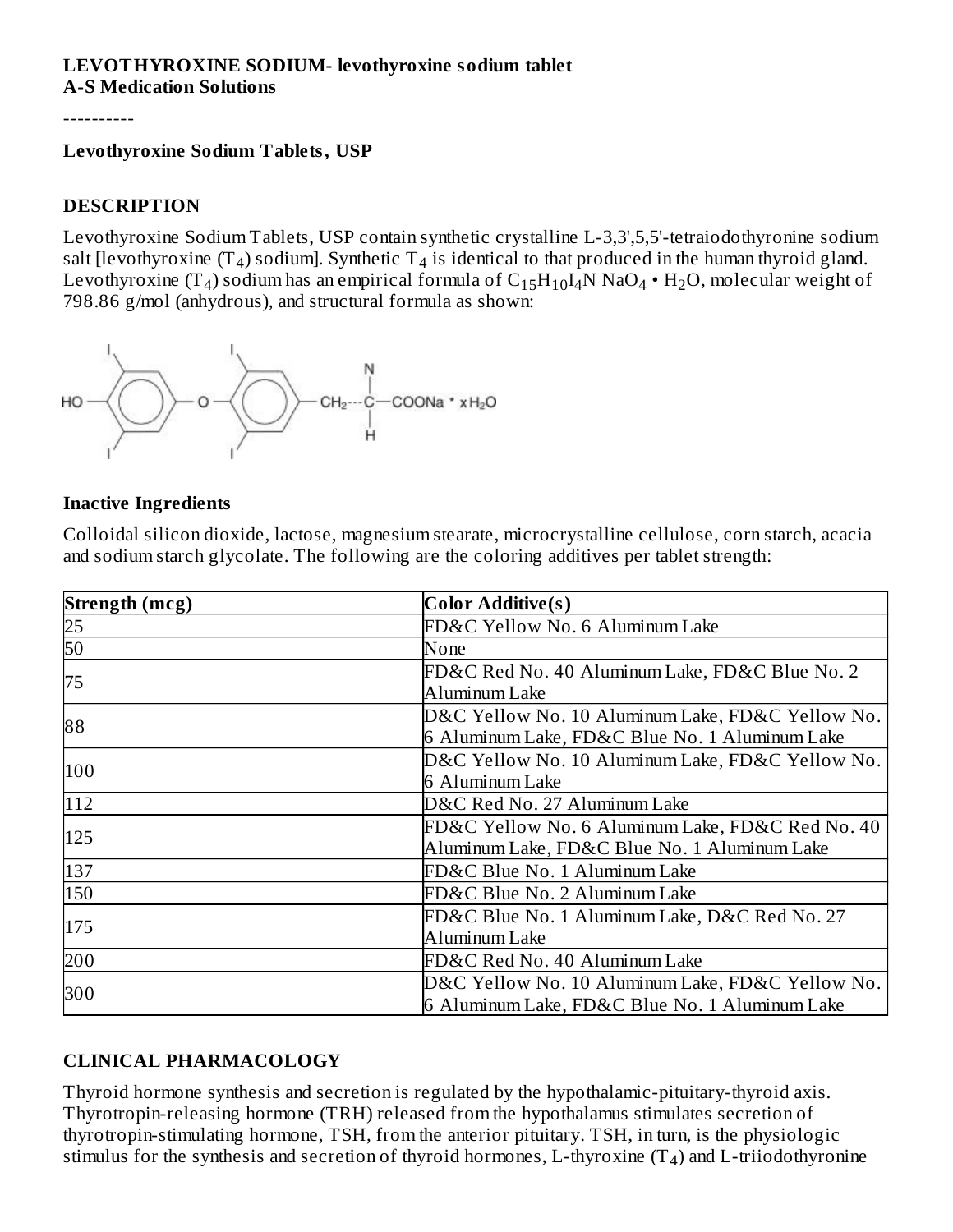#### **LEVOTHYROXINE SODIUM- levothyroxine sodium tablet A-S Medication Solutions**

----------

#### **Levothyroxine Sodium Tablets, USP**

#### **DESCRIPTION**

Levothyroxine Sodium Tablets, USP contain synthetic crystalline L-3,3',5,5'-tetraiodothyronine sodium salt [levothyroxine (T<sub>4</sub>) sodium]. Synthetic T<sub>4</sub> is identical to that produced in the human thyroid gland. Levothyroxine (T<sub>4</sub>) sodium has an empirical formula of  $\rm{C_{15}H_{10}I_4N}$  NaO $_4$  •  $\rm{H_2O}$ , molecular weight of 798.86 g/mol (anhydrous), and structural formula as shown:



#### **Inactive Ingredients**

Colloidal silicon dioxide, lactose, magnesium stearate, microcrystalline cellulose, corn starch, acacia and sodium starch glycolate. The following are the coloring additives per tablet strength:

| Strength (mcg)  | Color Additive(s)                                |
|-----------------|--------------------------------------------------|
| $\frac{25}{50}$ | FD&C Yellow No. 6 Aluminum Lake                  |
|                 | None                                             |
| 75              | FD&C Red No. 40 Aluminum Lake, FD&C Blue No. 2   |
|                 | Aluminum Lake                                    |
| 88              | D&C Yellow No. 10 Aluminum Lake, FD&C Yellow No. |
|                 | 6 Aluminum Lake, FD&C Blue No. 1 Aluminum Lake   |
| 100             | D&C Yellow No. 10 Aluminum Lake, FD&C Yellow No. |
|                 | 6 Aluminum Lake                                  |
| 112             | D&C Red No. 27 Aluminum Lake                     |
|                 | FD&C Yellow No. 6 Aluminum Lake, FD&C Red No. 40 |
| 125             | Aluminum Lake, FD&C Blue No. 1 Aluminum Lake     |
| 137             | FD&C Blue No. 1 Aluminum Lake                    |
| 150             | FD&C Blue No. 2 Aluminum Lake                    |
| 175             | FD&C Blue No. 1 Aluminum Lake, D&C Red No. 27    |
|                 | Aluminum Lake                                    |
| 200             | FD&C Red No. 40 Aluminum Lake                    |
|                 | D&C Yellow No. 10 Aluminum Lake, FD&C Yellow No. |
| 300             | 6 Aluminum Lake, FD&C Blue No. 1 Aluminum Lake   |

#### **CLINICAL PHARMACOLOGY**

Thyroid hormone synthesis and secretion is regulated by the hypothalamic-pituitary-thyroid axis. Thyrotropin-releasing hormone (TRH) released from the hypothalamus stimulates secretion of thyrotropin-stimulating hormone, TSH, from the anterior pituitary. TSH, in turn, is the physiologic stimulus for the synthesis and secretion of thyroid hormones, L-thyroxine  $(T_4)$  and L-triiodothyronine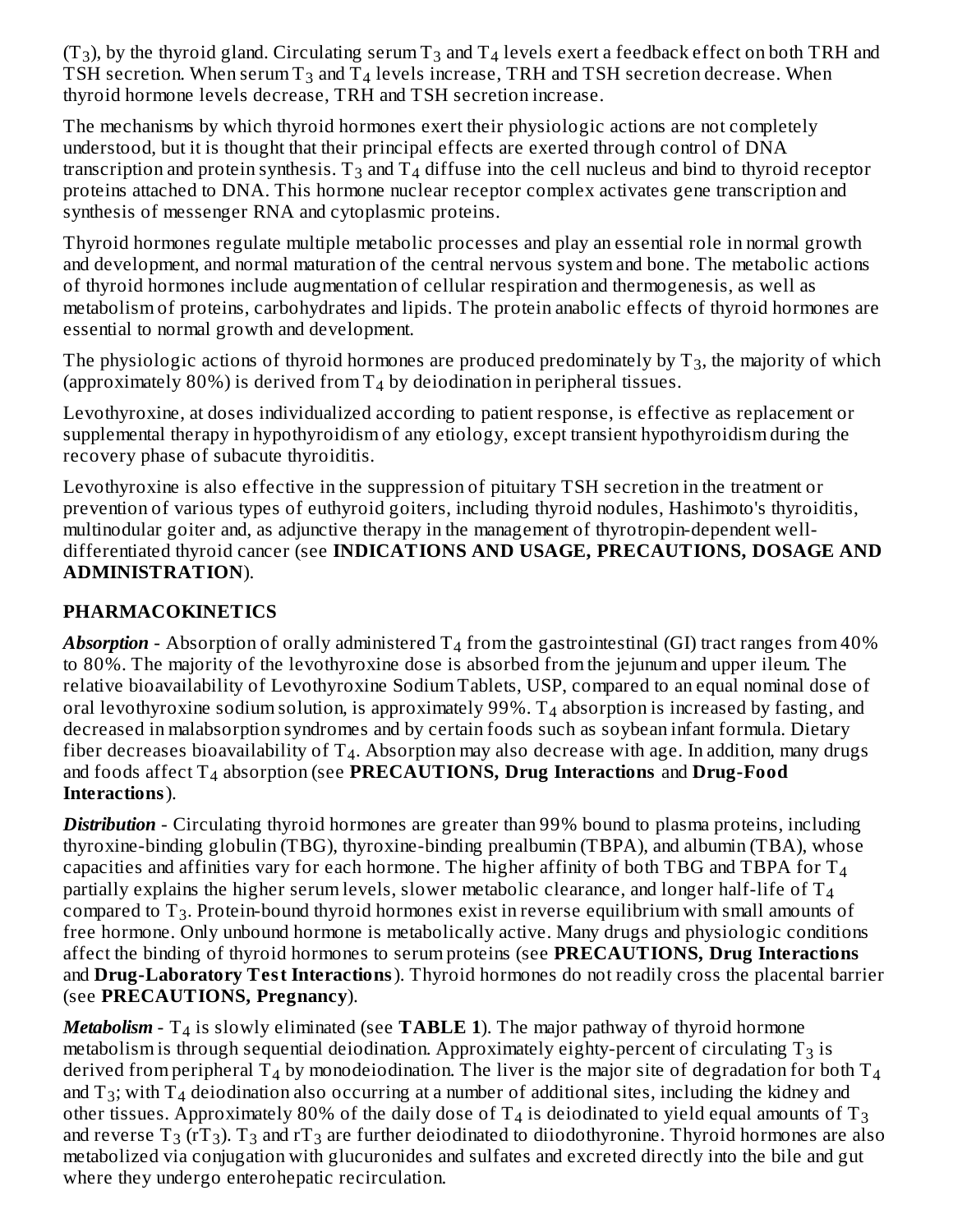(T<sub>3</sub>), by the thyroid gland. Circulating serum T<sub>3</sub> and T<sub>4</sub> levels exert a feedback effect on both TRH and TSH secretion. When serum T $_3$  and T $_4$  levels increase, TRH and TSH secretion decrease. When thyroid hormone levels decrease, TRH and TSH secretion increase.

The mechanisms by which thyroid hormones exert their physiologic actions are not completely understood, but it is thought that their principal effects are exerted through control of DNA transcription and protein synthesis.  $\text{T}_3$  and  $\text{T}_4$  diffuse into the cell nucleus and bind to thyroid receptor proteins attached to DNA. This hormone nuclear receptor complex activates gene transcription and synthesis of messenger RNA and cytoplasmic proteins.

Thyroid hormones regulate multiple metabolic processes and play an essential role in normal growth and development, and normal maturation of the central nervous system and bone. The metabolic actions of thyroid hormones include augmentation of cellular respiration and thermogenesis, as well as metabolism of proteins, carbohydrates and lipids. The protein anabolic effects of thyroid hormones are essential to normal growth and development.

The physiologic actions of thyroid hormones are produced predominately by  $\text{T}_3$ , the majority of which (approximately 80%) is derived from  $T_4$  by deiodination in peripheral tissues.

Levothyroxine, at doses individualized according to patient response, is effective as replacement or supplemental therapy in hypothyroidism of any etiology, except transient hypothyroidism during the recovery phase of subacute thyroiditis.

Levothyroxine is also effective in the suppression of pituitary TSH secretion in the treatment or prevention of various types of euthyroid goiters, including thyroid nodules, Hashimoto's thyroiditis, multinodular goiter and, as adjunctive therapy in the management of thyrotropin-dependent welldifferentiated thyroid cancer (see **INDICATIONS AND USAGE, PRECAUTIONS, DOSAGE AND ADMINISTRATION**).

# **PHARMACOKINETICS**

 $\bm{A}$  *bsorption* - Absorption of orally administered T<sub>4</sub> from the gastrointestinal (GI) tract ranges from 40% to 80%. The majority of the levothyroxine dose is absorbed from the jejunum and upper ileum. The relative bioavailability of Levothyroxine Sodium Tablets, USP, compared to an equal nominal dose of oral levothyroxine sodium solution, is approximately 99%.  $T_4$  absorption is increased by fasting, and decreased in malabsorption syndromes and by certain foods such as soybean infant formula. Dietary fiber decreases bioavailability of  $\texttt{T}_4$ . Absorption may also decrease with age. In addition, many drugs and foods affect T absorption (see **PRECAUTIONS, Drug Interactions** and **Drug-Food** 4 **Interactions**).

**Distribution** - Circulating thyroid hormones are greater than 99% bound to plasma proteins, including thyroxine-binding globulin (TBG), thyroxine-binding prealbumin (TBPA), and albumin (TBA), whose capacities and affinities vary for each hormone. The higher affinity of both TBG and TBPA for  $\rm{T}_4$ partially explains the higher serum levels, slower metabolic clearance, and longer half-life of  $\rm{T}_4$ compared to  $T_3$ . Protein-bound thyroid hormones exist in reverse equilibrium with small amounts of free hormone. Only unbound hormone is metabolically active. Many drugs and physiologic conditions affect the binding of thyroid hormones to serum proteins (see **PRECAUTIONS, Drug Interactions** and **Drug-Laboratory Test Interactions**). Thyroid hormones do not readily cross the placental barrier (see **PRECAUTIONS, Pregnancy**).

**Metabolism** - T<sub>4</sub> is slowly eliminated (see **TABLE 1**). The major pathway of thyroid hormone metabolism is through sequential deiodination. Approximately eighty-percent of circulating  $\rm{T}_3$  is derived from peripheral T $_4$  by monodeiodination. The liver is the major site of degradation for both T $_4$ and T<sub>3</sub>; with T<sub>4</sub> deiodination also occurring at a number of additional sites, including the kidney and other tissues. Approximately 80% of the daily dose of  $\texttt{T}_4$  is deiodinated to yield equal amounts of  $\texttt{T}_3$ and reverse T<sub>3</sub> (rT<sub>3</sub>). T<sub>3</sub> and rT<sub>3</sub> are further deiodinated to diiodothyronine. Thyroid hormones are also metabolized via conjugation with glucuronides and sulfates and excreted directly into the bile and gut where they undergo enterohepatic recirculation.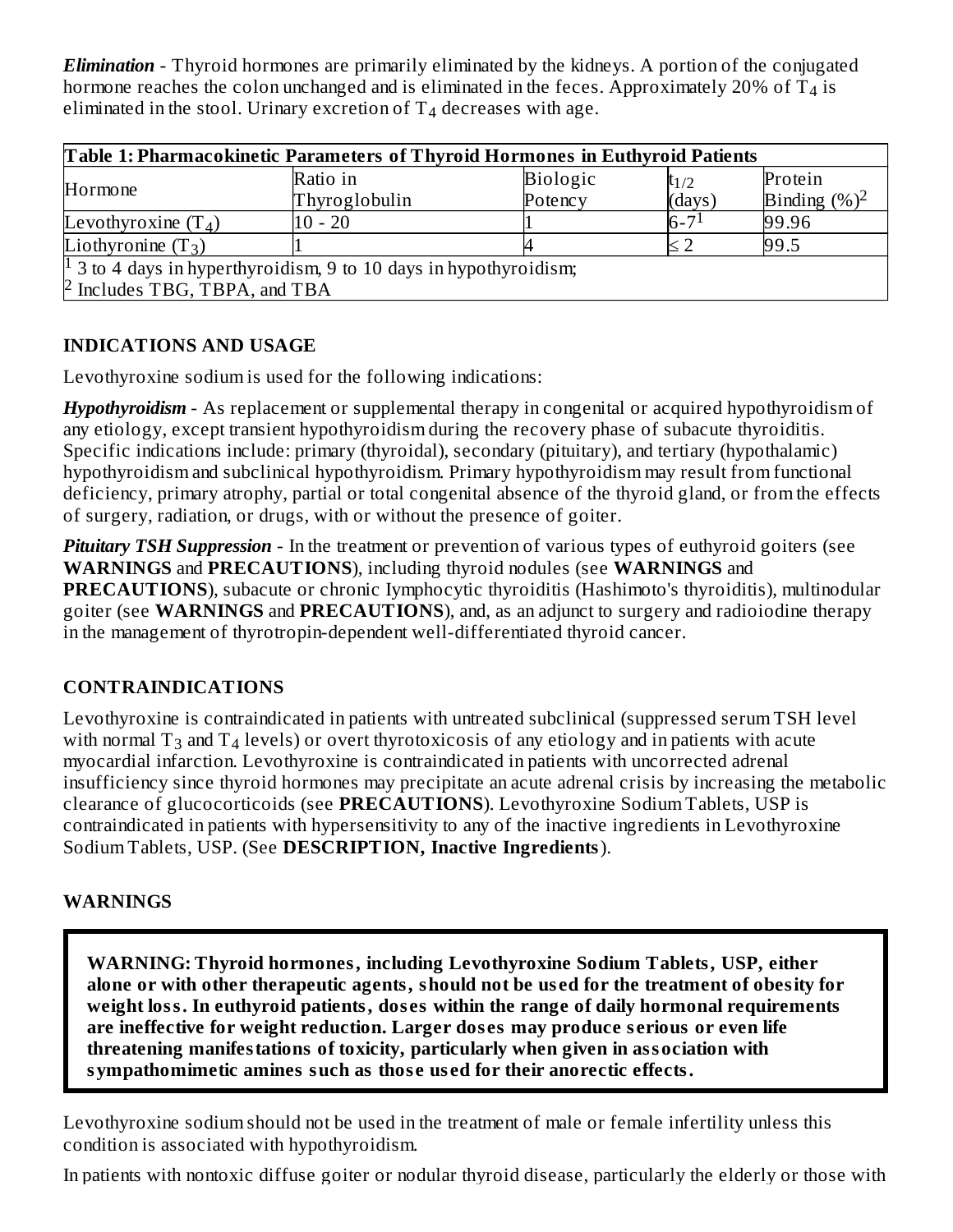*Elimination* - Thyroid hormones are primarily eliminated by the kidneys. A portion of the conjugated hormone reaches the colon unchanged and is eliminated in the feces. Approximately 20% of T<sub>4</sub> is eliminated in the stool. Urinary excretion of  $T_{4}$  decreases with age.

| Table 1: Pharmacokinetic Parameters of Thyroid Hormones in Euthyroid Patients                                       |                                |                            |                     |                            |  |  |  |  |
|---------------------------------------------------------------------------------------------------------------------|--------------------------------|----------------------------|---------------------|----------------------------|--|--|--|--|
| Hormone                                                                                                             | Ratio in<br>Thyroglobulin      | <b>Biologic</b><br>Potency | $t_{1/2}$<br>(days) | Protein<br>Binding $(%)^2$ |  |  |  |  |
| Levothyroxine $(T_4)$                                                                                               | $6 - 71$<br>99.96<br>$10 - 20$ |                            |                     |                            |  |  |  |  |
| Liothyronine $(T_3)$<br>99.5                                                                                        |                                |                            |                     |                            |  |  |  |  |
| <sup>1</sup> 3 to 4 days in hyperthyroidism, 9 to 10 days in hypothyroidism;<br>$\beta$ Includes TBG, TBPA, and TBA |                                |                            |                     |                            |  |  |  |  |

#### **INDICATIONS AND USAGE**

Levothyroxine sodium is used for the following indications:

*Hypothyroidism* - As replacement or supplemental therapy in congenital or acquired hypothyroidism of any etiology, except transient hypothyroidism during the recovery phase of subacute thyroiditis. Specific indications include: primary (thyroidal), secondary (pituitary), and tertiary (hypothalamic) hypothyroidism and subclinical hypothyroidism. Primary hypothyroidism may result from functional deficiency, primary atrophy, partial or total congenital absence of the thyroid gland, or from the effects of surgery, radiation, or drugs, with or without the presence of goiter.

*Pituitary TSH Suppression* - In the treatment or prevention of various types of euthyroid goiters (see **WARNINGS** and **PRECAUTIONS**), including thyroid nodules (see **WARNINGS** and **PRECAUTIONS**), subacute or chronic Iymphocytic thyroiditis (Hashimoto's thyroiditis), multinodular goiter (see **WARNINGS** and **PRECAUTIONS**), and, as an adjunct to surgery and radioiodine therapy in the management of thyrotropin-dependent well-differentiated thyroid cancer.

## **CONTRAINDICATIONS**

Levothyroxine is contraindicated in patients with untreated subclinical (suppressed serum TSH level with normal T<sub>3</sub> and T<sub>4</sub> levels) or overt thyrotoxicosis of any etiology and in patients with acute myocardial infarction. Levothyroxine is contraindicated in patients with uncorrected adrenal insufficiency since thyroid hormones may precipitate an acute adrenal crisis by increasing the metabolic clearance of glucocorticoids (see **PRECAUTIONS**). Levothyroxine Sodium Tablets, USP is contraindicated in patients with hypersensitivity to any of the inactive ingredients in Levothyroxine Sodium Tablets, USP. (See **DESCRIPTION, Inactive Ingredients**).

## **WARNINGS**

**WARNING: Thyroid hormones, including Levothyroxine Sodium Tablets, USP, either alone or with other therapeutic agents, should not be us ed for the treatment of obesity for weight loss. In euthyroid patients, dos es within the range of daily hormonal requirements are ineffective for weight reduction. Larger dos es may produce s erious or even life threatening manifestations of toxicity, particularly when given in association with sympathomimetic amines such as thos e us ed for their anorectic effects.**

Levothyroxine sodium should not be used in the treatment of male or female infertility unless this condition is associated with hypothyroidism.

In patients with nontoxic diffuse goiter or nodular thyroid disease, particularly the elderly or those with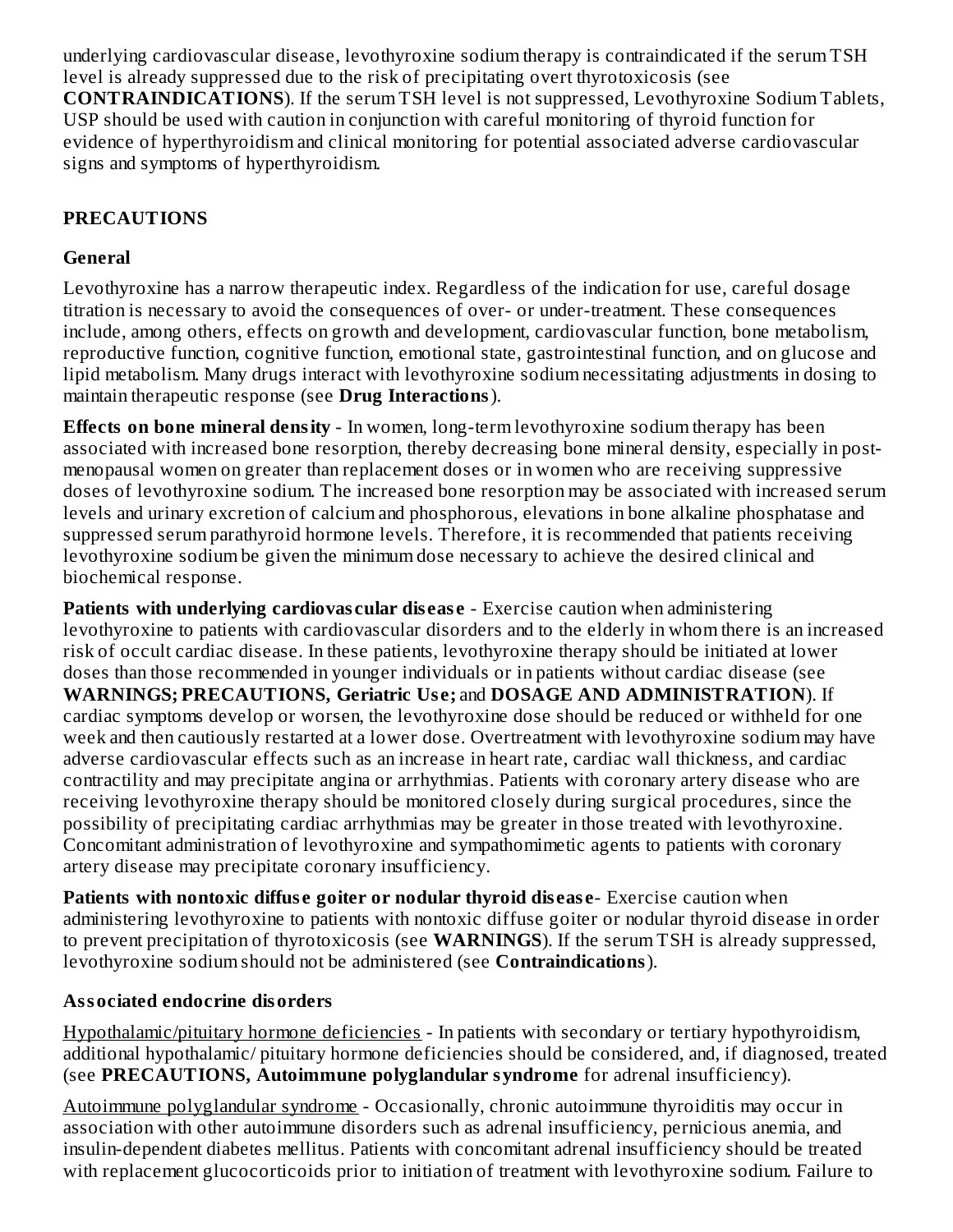underlying cardiovascular disease, levothyroxine sodium therapy is contraindicated if the serum TSH level is already suppressed due to the risk of precipitating overt thyrotoxicosis (see **CONTRAINDICATIONS**). If the serum TSH level is not suppressed, Levothyroxine Sodium Tablets, USP should be used with caution in conjunction with careful monitoring of thyroid function for evidence of hyperthyroidism and clinical monitoring for potential associated adverse cardiovascular signs and symptoms of hyperthyroidism.

## **PRECAUTIONS**

## **General**

Levothyroxine has a narrow therapeutic index. Regardless of the indication for use, careful dosage titration is necessary to avoid the consequences of over- or under-treatment. These consequences include, among others, effects on growth and development, cardiovascular function, bone metabolism, reproductive function, cognitive function, emotional state, gastrointestinal function, and on glucose and lipid metabolism. Many drugs interact with levothyroxine sodium necessitating adjustments in dosing to maintain therapeutic response (see **Drug Interactions**).

**Effects on bone mineral density** - In women, long-term levothyroxine sodium therapy has been associated with increased bone resorption, thereby decreasing bone mineral density, especially in postmenopausal women on greater than replacement doses or in women who are receiving suppressive doses of levothyroxine sodium. The increased bone resorption may be associated with increased serum levels and urinary excretion of calcium and phosphorous, elevations in bone alkaline phosphatase and suppressed serum parathyroid hormone levels. Therefore, it is recommended that patients receiving levothyroxine sodium be given the minimum dose necessary to achieve the desired clinical and biochemical response.

**Patients with underlying cardiovas cular dis eas e** - Exercise caution when administering levothyroxine to patients with cardiovascular disorders and to the elderly in whom there is an increased risk of occult cardiac disease. In these patients, levothyroxine therapy should be initiated at lower doses than those recommended in younger individuals or in patients without cardiac disease (see **WARNINGS; PRECAUTIONS, Geriatric Us e;** and **DOSAGE AND ADMINISTRATION**). If cardiac symptoms develop or worsen, the levothyroxine dose should be reduced or withheld for one week and then cautiously restarted at a lower dose. Overtreatment with levothyroxine sodium may have adverse cardiovascular effects such as an increase in heart rate, cardiac wall thickness, and cardiac contractility and may precipitate angina or arrhythmias. Patients with coronary artery disease who are receiving levothyroxine therapy should be monitored closely during surgical procedures, since the possibility of precipitating cardiac arrhythmias may be greater in those treated with levothyroxine. Concomitant administration of levothyroxine and sympathomimetic agents to patients with coronary artery disease may precipitate coronary insufficiency.

**Patients with nontoxic diffus e goiter or nodular thyroid dis eas e**- Exercise caution when administering levothyroxine to patients with nontoxic diffuse goiter or nodular thyroid disease in order to prevent precipitation of thyrotoxicosis (see **WARNINGS**). If the serum TSH is already suppressed, levothyroxine sodium should not be administered (see **Contraindications**).

#### **Associated endocrine disorders**

Hypothalamic/pituitary hormone deficiencies - In patients with secondary or tertiary hypothyroidism, additional hypothalamic/ pituitary hormone deficiencies should be considered, and, if diagnosed, treated (see **PRECAUTIONS, Autoimmune polyglandular syndrome** for adrenal insufficiency).

Autoimmune polyglandular syndrome - Occasionally, chronic autoimmune thyroiditis may occur in association with other autoimmune disorders such as adrenal insufficiency, pernicious anemia, and insulin-dependent diabetes mellitus. Patients with concomitant adrenal insufficiency should be treated with replacement glucocorticoids prior to initiation of treatment with levothyroxine sodium. Failure to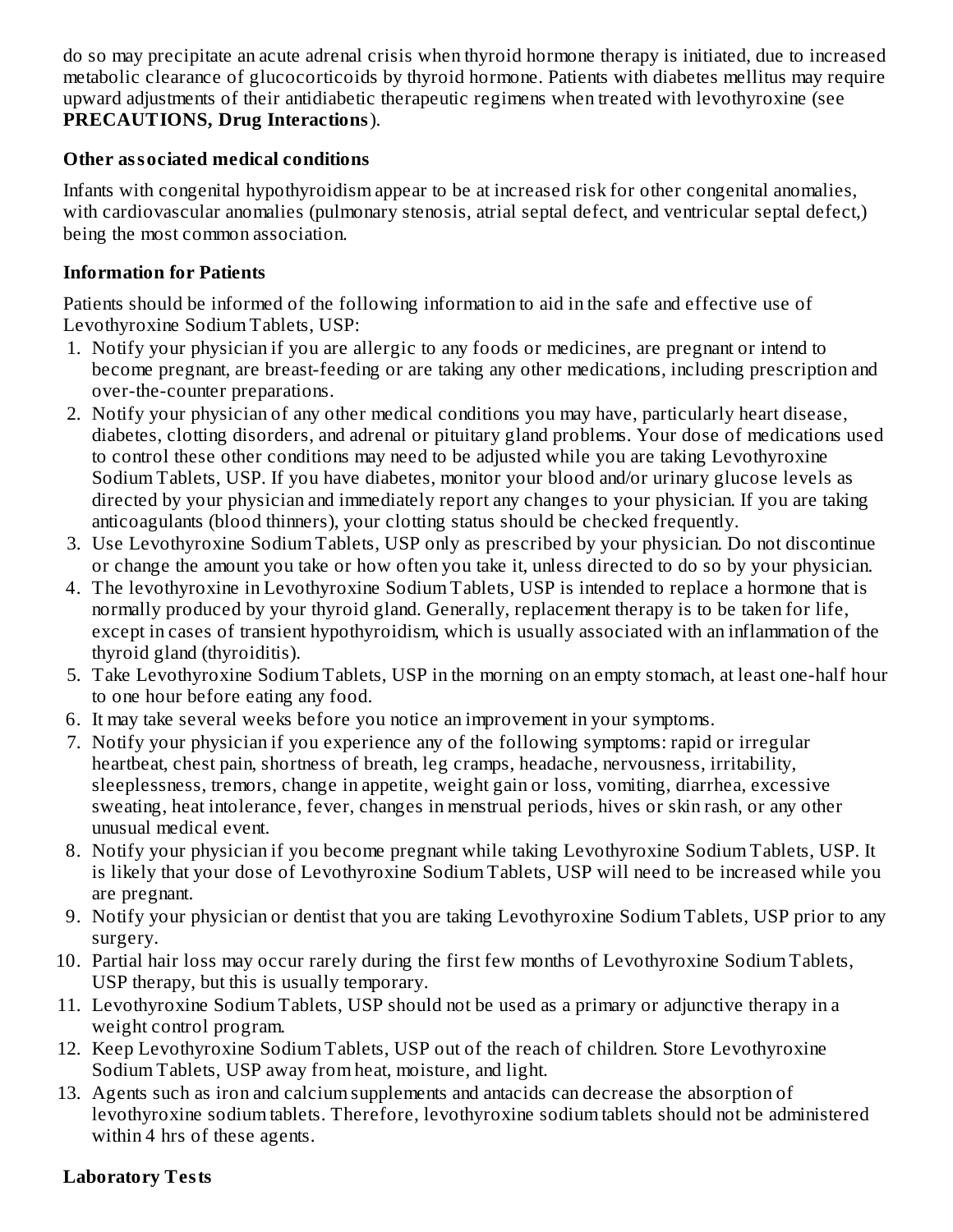do so may precipitate an acute adrenal crisis when thyroid hormone therapy is initiated, due to increased metabolic clearance of glucocorticoids by thyroid hormone. Patients with diabetes mellitus may require upward adjustments of their antidiabetic therapeutic regimens when treated with levothyroxine (see **PRECAUTIONS, Drug Interactions**).

#### **Other associated medical conditions**

Infants with congenital hypothyroidism appear to be at increased risk for other congenital anomalies, with cardiovascular anomalies (pulmonary stenosis, atrial septal defect, and ventricular septal defect,) being the most common association.

## **Information for Patients**

Patients should be informed of the following information to aid in the safe and effective use of Levothyroxine Sodium Tablets, USP:

- 1. Notify your physician if you are allergic to any foods or medicines, are pregnant or intend to become pregnant, are breast-feeding or are taking any other medications, including prescription and over-the-counter preparations.
- 2. Notify your physician of any other medical conditions you may have, particularly heart disease, diabetes, clotting disorders, and adrenal or pituitary gland problems. Your dose of medications used to control these other conditions may need to be adjusted while you are taking Levothyroxine Sodium Tablets, USP. If you have diabetes, monitor your blood and/or urinary glucose levels as directed by your physician and immediately report any changes to your physician. If you are taking anticoagulants (blood thinners), your clotting status should be checked frequently.
- 3. Use Levothyroxine Sodium Tablets, USP only as prescribed by your physician. Do not discontinue or change the amount you take or how often you take it, unless directed to do so by your physician.
- 4. The levothyroxine in Levothyroxine Sodium Tablets, USP is intended to replace a hormone that is normally produced by your thyroid gland. Generally, replacement therapy is to be taken for life, except in cases of transient hypothyroidism, which is usually associated with an inflammation of the thyroid gland (thyroiditis).
- 5. Take Levothyroxine Sodium Tablets, USP in the morning on an empty stomach, at least one-half hour to one hour before eating any food.
- 6. It may take several weeks before you notice an improvement in your symptoms.
- 7. Notify your physician if you experience any of the following symptoms: rapid or irregular heartbeat, chest pain, shortness of breath, leg cramps, headache, nervousness, irritability, sleeplessness, tremors, change in appetite, weight gain or loss, vomiting, diarrhea, excessive sweating, heat intolerance, fever, changes in menstrual periods, hives or skin rash, or any other unusual medical event.
- 8. Notify your physician if you become pregnant while taking Levothyroxine Sodium Tablets, USP. It is likely that your dose of Levothyroxine Sodium Tablets, USP will need to be increased while you are pregnant.
- 9. Notify your physician or dentist that you are taking Levothyroxine Sodium Tablets, USP prior to any surgery.
- 10. Partial hair loss may occur rarely during the first few months of Levothyroxine Sodium Tablets, USP therapy, but this is usually temporary.
- 11. Levothyroxine Sodium Tablets, USP should not be used as a primary or adjunctive therapy in a weight control program.
- 12. Keep Levothyroxine Sodium Tablets, USP out of the reach of children. Store Levothyroxine Sodium Tablets, USP away from heat, moisture, and light.
- 13. Agents such as iron and calcium supplements and antacids can decrease the absorption of levothyroxine sodium tablets. Therefore, levothyroxine sodium tablets should not be administered within 4 hrs of these agents.

# **Laboratory Tests**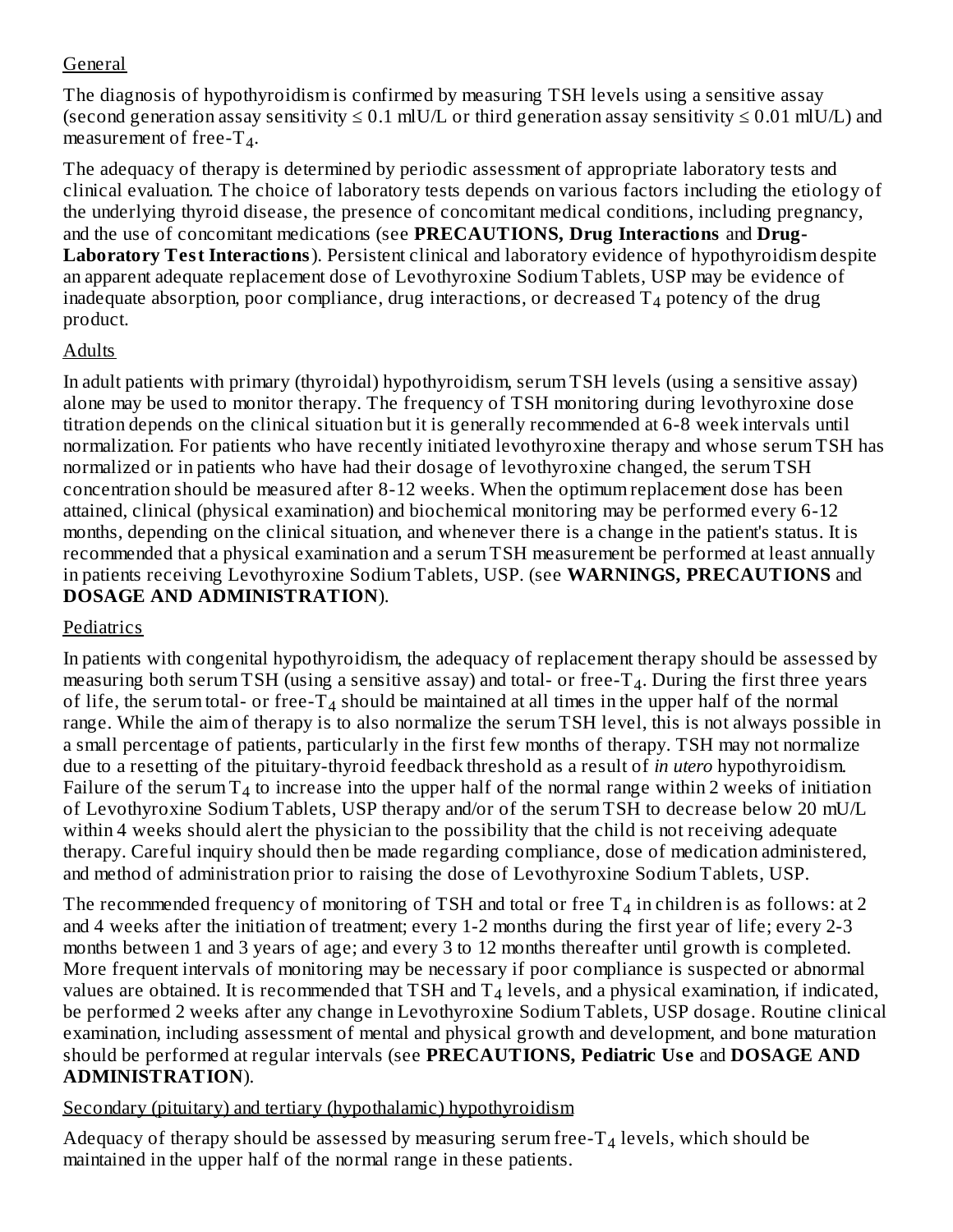#### General

The diagnosis of hypothyroidism is confirmed by measuring TSH levels using a sensitive assay (second generation assay sensitivity  $\leq 0.1$  mlU/L or third generation assay sensitivity  $\leq 0.01$  mlU/L) and measurement of free-T<sub>4</sub>.

The adequacy of therapy is determined by periodic assessment of appropriate laboratory tests and clinical evaluation. The choice of laboratory tests depends on various factors including the etiology of the underlying thyroid disease, the presence of concomitant medical conditions, including pregnancy, and the use of concomitant medications (see **PRECAUTIONS, Drug Interactions** and **Drug-Laboratory Test Interactions**). Persistent clinical and laboratory evidence of hypothyroidism despite an apparent adequate replacement dose of Levothyroxine Sodium Tablets, USP may be evidence of inadequate absorption, poor compliance, drug interactions, or decreased  $\mathrm{T}_4$  potency of the drug product.

## **Adults**

In adult patients with primary (thyroidal) hypothyroidism, serum TSH levels (using a sensitive assay) alone may be used to monitor therapy. The frequency of TSH monitoring during levothyroxine dose titration depends on the clinical situation but it is generally recommended at 6-8 week intervals until normalization. For patients who have recently initiated levothyroxine therapy and whose serum TSH has normalized or in patients who have had their dosage of levothyroxine changed, the serum TSH concentration should be measured after 8-12 weeks. When the optimum replacement dose has been attained, clinical (physical examination) and biochemical monitoring may be performed every 6-12 months, depending on the clinical situation, and whenever there is a change in the patient's status. It is recommended that a physical examination and a serum TSH measurement be performed at least annually in patients receiving Levothyroxine Sodium Tablets, USP. (see **WARNINGS, PRECAUTIONS** and **DOSAGE AND ADMINISTRATION**).

#### **Pediatrics**

In patients with congenital hypothyroidism, the adequacy of replacement therapy should be assessed by measuring both serum TSH (using a sensitive assay) and total- or free-T $_4$ . During the first three years of life, the serum total- or free-T<sub>4</sub> should be maintained at all times in the upper half of the normal range. While the aim of therapy is to also normalize the serum TSH level, this is not always possible in a small percentage of patients, particularly in the first few months of therapy. TSH may not normalize due to a resetting of the pituitary-thyroid feedback threshold as a result of *in utero* hypothyroidism. Failure of the serum  $T_4$  to increase into the upper half of the normal range within 2 weeks of initiation of Levothyroxine Sodium Tablets, USP therapy and/or of the serum TSH to decrease below 20 mU/L within 4 weeks should alert the physician to the possibility that the child is not receiving adequate therapy. Careful inquiry should then be made regarding compliance, dose of medication administered, and method of administration prior to raising the dose of Levothyroxine Sodium Tablets, USP.

The recommended frequency of monitoring of TSH and total or free  $\mathrm{T}_4$  in children is as follows: at 2 and 4 weeks after the initiation of treatment; every 1-2 months during the first year of life; every 2-3 months between 1 and 3 years of age; and every 3 to 12 months thereafter until growth is completed. More frequent intervals of monitoring may be necessary if poor compliance is suspected or abnormal values are obtained. It is recommended that  $\text{TSH}$  and  $\text{T}_4$  levels, and a physical examination, if indicated, be performed 2 weeks after any change in Levothyroxine Sodium Tablets, USP dosage. Routine clinical examination, including assessment of mental and physical growth and development, and bone maturation should be performed at regular intervals (see **PRECAUTIONS, Pediatric Us e** and **DOSAGE AND ADMINISTRATION**).

## Secondary (pituitary) and tertiary (hypothalamic) hypothyroidism

Adequacy of therapy should be assessed by measuring serum free-T $_{\rm 4}$  levels, which should be maintained in the upper half of the normal range in these patients.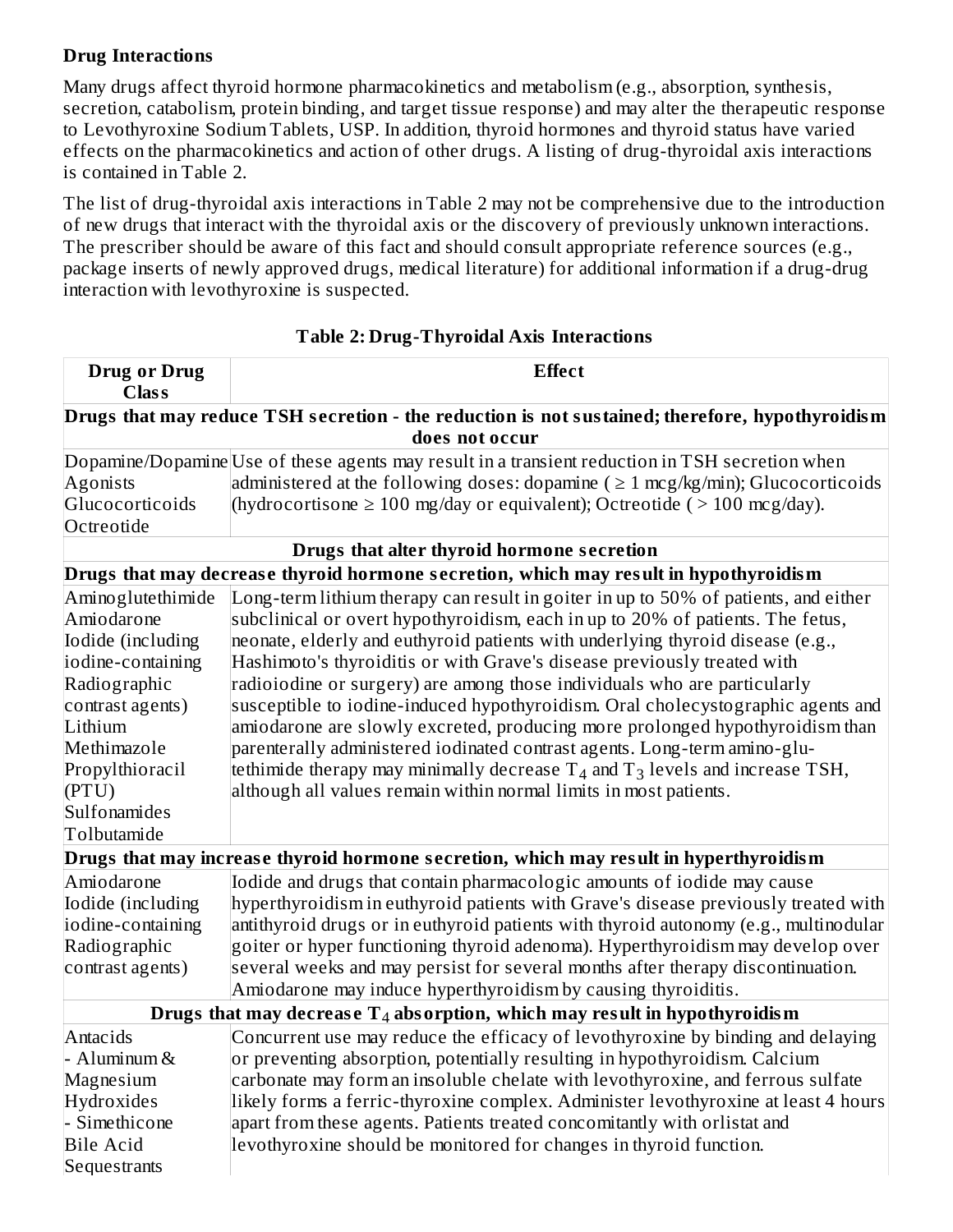## **Drug Interactions**

Many drugs affect thyroid hormone pharmacokinetics and metabolism (e.g., absorption, synthesis, secretion, catabolism, protein binding, and target tissue response) and may alter the therapeutic response to Levothyroxine Sodium Tablets, USP. In addition, thyroid hormones and thyroid status have varied effects on the pharmacokinetics and action of other drugs. A listing of drug-thyroidal axis interactions is contained in Table 2.

The list of drug-thyroidal axis interactions in Table 2 may not be comprehensive due to the introduction of new drugs that interact with the thyroidal axis or the discovery of previously unknown interactions. The prescriber should be aware of this fact and should consult appropriate reference sources (e.g., package inserts of newly approved drugs, medical literature) for additional information if a drug-drug interaction with levothyroxine is suspected.

| <b>Drug or Drug</b><br><b>Class</b>                                                                                                                                                                | <b>Effect</b>                                                                                                                                                                                                                                                                                                                                                                                                                                                                                                                                                                                                                                                                                                                                                                                                            |
|----------------------------------------------------------------------------------------------------------------------------------------------------------------------------------------------------|--------------------------------------------------------------------------------------------------------------------------------------------------------------------------------------------------------------------------------------------------------------------------------------------------------------------------------------------------------------------------------------------------------------------------------------------------------------------------------------------------------------------------------------------------------------------------------------------------------------------------------------------------------------------------------------------------------------------------------------------------------------------------------------------------------------------------|
|                                                                                                                                                                                                    | Drugs that may reduce TSH secretion - the reduction is not sustained; therefore, hypothyroidism                                                                                                                                                                                                                                                                                                                                                                                                                                                                                                                                                                                                                                                                                                                          |
|                                                                                                                                                                                                    | does not occur                                                                                                                                                                                                                                                                                                                                                                                                                                                                                                                                                                                                                                                                                                                                                                                                           |
|                                                                                                                                                                                                    | Dopamine/Dopamine Use of these agents may result in a transient reduction in TSH secretion when                                                                                                                                                                                                                                                                                                                                                                                                                                                                                                                                                                                                                                                                                                                          |
| Agonists                                                                                                                                                                                           | administered at the following doses: dopamine $( \geq 1 \text{ mcg/kg/min})$ ; Glucocorticoids                                                                                                                                                                                                                                                                                                                                                                                                                                                                                                                                                                                                                                                                                                                           |
| Glucocorticoids                                                                                                                                                                                    | (hydrocortisone $\geq 100$ mg/day or equivalent); Octreotide ( $> 100$ mcg/day).                                                                                                                                                                                                                                                                                                                                                                                                                                                                                                                                                                                                                                                                                                                                         |
| Octreotide                                                                                                                                                                                         |                                                                                                                                                                                                                                                                                                                                                                                                                                                                                                                                                                                                                                                                                                                                                                                                                          |
|                                                                                                                                                                                                    | Drugs that alter thyroid hormone secretion                                                                                                                                                                                                                                                                                                                                                                                                                                                                                                                                                                                                                                                                                                                                                                               |
|                                                                                                                                                                                                    | Drugs that may decrease thyroid hormone secretion, which may result in hypothyroidism                                                                                                                                                                                                                                                                                                                                                                                                                                                                                                                                                                                                                                                                                                                                    |
| Aminoglutethimide<br>Amiodarone<br>Iodide (including<br>iodine-containing<br>Radiographic<br>contrast agents)<br>Lithium<br>Methimazole<br>Propylthioracil<br>(PTU)<br>Sulfonamides<br>Tolbutamide | Long-term lithium therapy can result in goiter in up to 50% of patients, and either<br>subclinical or overt hypothyroidism, each in up to 20% of patients. The fetus,<br>neonate, elderly and euthyroid patients with underlying thyroid disease (e.g.,<br>Hashimoto's thyroiditis or with Grave's disease previously treated with<br>radioiodine or surgery) are among those individuals who are particularly<br>susceptible to iodine-induced hypothyroidism. Oral cholecystographic agents and<br>amiodarone are slowly excreted, producing more prolonged hypothyroidism than<br>parenterally administered iodinated contrast agents. Long-term amino-glu-<br>tethimide therapy may minimally decrease $T_4$ and $T_3$ levels and increase TSH,<br>although all values remain within normal limits in most patients. |
|                                                                                                                                                                                                    | Drugs that may increase thyroid hormone secretion, which may result in hyperthyroidism                                                                                                                                                                                                                                                                                                                                                                                                                                                                                                                                                                                                                                                                                                                                   |
| Amiodarone<br>Iodide (including<br>iodine-containing<br>Radiographic<br>contrast agents)                                                                                                           | Iodide and drugs that contain pharmacologic amounts of iodide may cause<br>hyperthyroidism in euthyroid patients with Grave's disease previously treated with<br>antithyroid drugs or in euthyroid patients with thyroid autonomy (e.g., multinodular<br>goiter or hyper functioning thyroid adenoma). Hyperthyroidism may develop over<br>several weeks and may persist for several months after therapy discontinuation.<br>Amiodarone may induce hyperthyroidism by causing thyroiditis.                                                                                                                                                                                                                                                                                                                              |
|                                                                                                                                                                                                    | Drugs that may decrease $T_4$ absorption, which may result in hypothyroidism                                                                                                                                                                                                                                                                                                                                                                                                                                                                                                                                                                                                                                                                                                                                             |
| Antacids<br>Aluminum &<br>Magnesium<br>Hydroxides<br>Simethicone<br><b>Bile Acid</b><br>Sequestrants                                                                                               | Concurrent use may reduce the efficacy of levothyroxine by binding and delaying<br>or preventing absorption, potentially resulting in hypothyroidism. Calcium<br>carbonate may form an insoluble chelate with levothyroxine, and ferrous sulfate<br>likely forms a ferric-thyroxine complex. Administer levothyroxine at least 4 hours<br>apart from these agents. Patients treated concomitantly with orlistat and<br>levothyroxine should be monitored for changes in thyroid function.                                                                                                                                                                                                                                                                                                                                |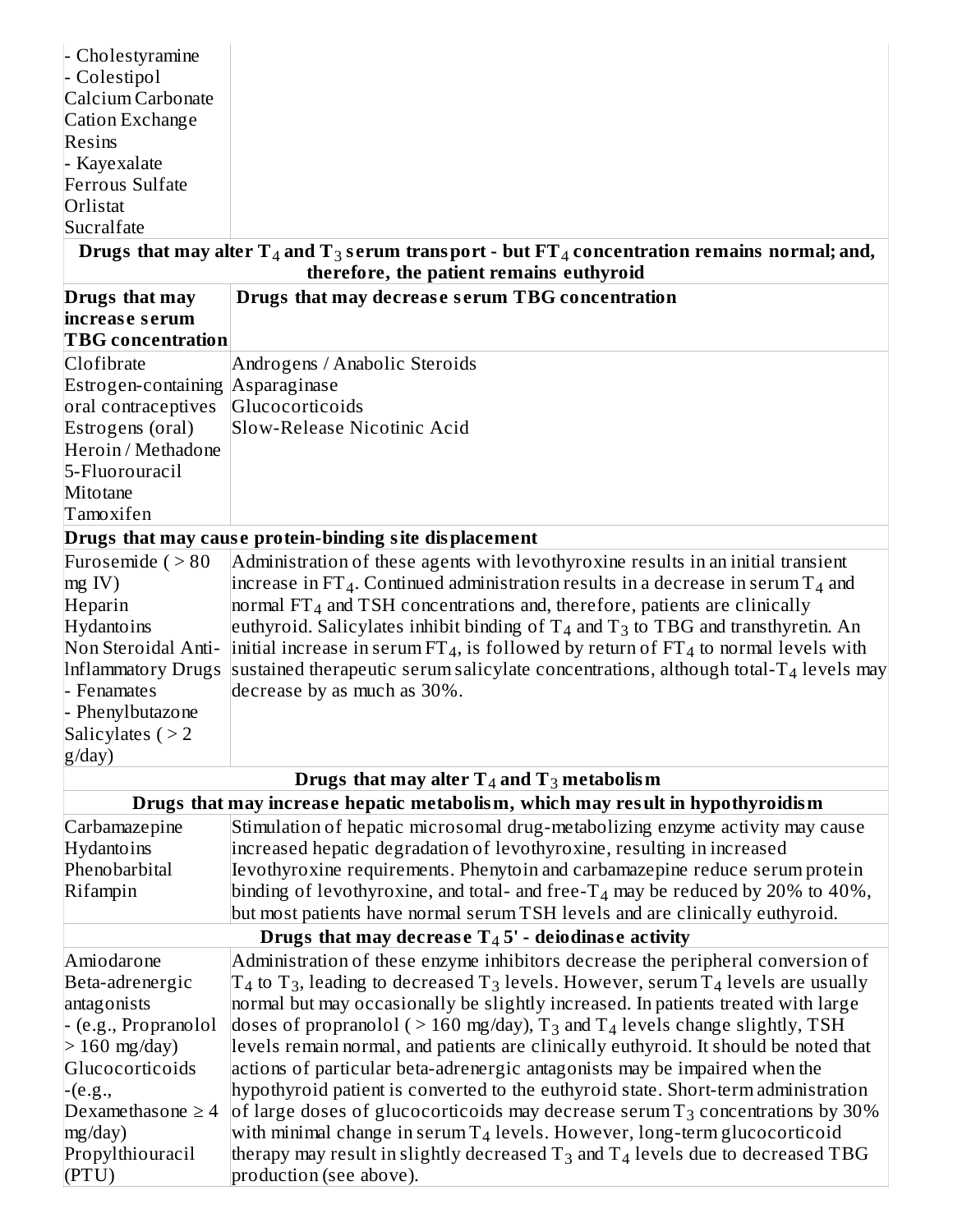| - Cholestyramine                                                               |                                                                                                                                                  |  |  |  |  |
|--------------------------------------------------------------------------------|--------------------------------------------------------------------------------------------------------------------------------------------------|--|--|--|--|
| - Colestipol                                                                   |                                                                                                                                                  |  |  |  |  |
| Calcium Carbonate                                                              |                                                                                                                                                  |  |  |  |  |
| <b>Cation Exchange</b>                                                         |                                                                                                                                                  |  |  |  |  |
| Resins                                                                         |                                                                                                                                                  |  |  |  |  |
| - Kayexalate                                                                   |                                                                                                                                                  |  |  |  |  |
| Ferrous Sulfate                                                                |                                                                                                                                                  |  |  |  |  |
| Orlistat                                                                       |                                                                                                                                                  |  |  |  |  |
| Sucralfate                                                                     |                                                                                                                                                  |  |  |  |  |
|                                                                                | Drugs that may alter $T_4$ and $T_3$ serum transport - but $FT_4$ concentration remains normal; and,<br>therefore, the patient remains euthyroid |  |  |  |  |
| <b>Drugs that may</b>                                                          | Drugs that may decrease serum TBG concentration                                                                                                  |  |  |  |  |
| increase serum                                                                 |                                                                                                                                                  |  |  |  |  |
| <b>TBG concentration</b>                                                       |                                                                                                                                                  |  |  |  |  |
| Clofibrate                                                                     | Androgens / Anabolic Steroids                                                                                                                    |  |  |  |  |
| Estrogen-containing                                                            | Asparaginase                                                                                                                                     |  |  |  |  |
| oral contraceptives                                                            | Glucocorticoids                                                                                                                                  |  |  |  |  |
| Estrogens (oral)                                                               | Slow-Release Nicotinic Acid                                                                                                                      |  |  |  |  |
| Heroin / Methadone                                                             |                                                                                                                                                  |  |  |  |  |
| 5-Fluorouracil                                                                 |                                                                                                                                                  |  |  |  |  |
| Mitotane                                                                       |                                                                                                                                                  |  |  |  |  |
| Tamoxifen                                                                      |                                                                                                                                                  |  |  |  |  |
|                                                                                | Drugs that may cause protein-binding site displacement                                                                                           |  |  |  |  |
| Furosemide $( > 80$                                                            | Administration of these agents with levothyroxine results in an initial transient                                                                |  |  |  |  |
| mg IV)                                                                         | increase in FT <sub>4</sub> . Continued administration results in a decrease in serum $T_4$ and                                                  |  |  |  |  |
| Heparin                                                                        | normal $FT_4$ and TSH concentrations and, therefore, patients are clinically                                                                     |  |  |  |  |
| Hydantoins                                                                     | euthyroid. Salicylates inhibit binding of $T_4$ and $T_3$ to TBG and transthyretin. An                                                           |  |  |  |  |
| Non Steroidal Anti-                                                            | initial increase in serum $FT_4$ , is followed by return of $FT_4$ to normal levels with                                                         |  |  |  |  |
| Inflammatory Drugs                                                             | sustained therapeutic serum salicylate concentrations, although total- $T_4$ levels may                                                          |  |  |  |  |
| - Fenamates                                                                    | decrease by as much as 30%.                                                                                                                      |  |  |  |  |
| - Phenylbutazone                                                               |                                                                                                                                                  |  |  |  |  |
| Salicylates $(2)$                                                              |                                                                                                                                                  |  |  |  |  |
| $g$ /day)                                                                      |                                                                                                                                                  |  |  |  |  |
|                                                                                | Drugs that may alter $T_4$ and $T_3$ metabolism                                                                                                  |  |  |  |  |
| Drugs that may increase hepatic metabolism, which may result in hypothyroidism |                                                                                                                                                  |  |  |  |  |
| Carbamazepine                                                                  | Stimulation of hepatic microsomal drug-metabolizing enzyme activity may cause                                                                    |  |  |  |  |
| Hydantoins                                                                     | increased hepatic degradation of levothyroxine, resulting in increased                                                                           |  |  |  |  |
| Phenobarbital                                                                  | Ievothyroxine requirements. Phenytoin and carbamazepine reduce serum protein                                                                     |  |  |  |  |
| Rifampin                                                                       | binding of levothyroxine, and total- and free- $T_4$ may be reduced by 20% to 40%,                                                               |  |  |  |  |
|                                                                                | but most patients have normal serum TSH levels and are clinically euthyroid.                                                                     |  |  |  |  |
|                                                                                | Drugs that may decrease $T_4$ 5' - deiodinase activity                                                                                           |  |  |  |  |
| Amiodarone                                                                     | Administration of these enzyme inhibitors decrease the peripheral conversion of                                                                  |  |  |  |  |
| Beta-adrenergic                                                                | $T_4$ to $T_3$ , leading to decreased $T_3$ levels. However, serum $T_4$ levels are usually                                                      |  |  |  |  |
| antagonists                                                                    | normal but may occasionally be slightly increased. In patients treated with large                                                                |  |  |  |  |
| - (e.g., Propranolol                                                           | doses of propranolol ( $>$ 160 mg/day), T <sub>3</sub> and T <sub>4</sub> levels change slightly, TSH                                            |  |  |  |  |
| $> 160$ mg/day)                                                                | levels remain normal, and patients are clinically euthyroid. It should be noted that                                                             |  |  |  |  |
| Glucocorticoids                                                                | actions of particular beta-adrenergic antagonists may be impaired when the                                                                       |  |  |  |  |
| $-(e.g.,$                                                                      | hypothyroid patient is converted to the euthyroid state. Short-term administration                                                               |  |  |  |  |
| Dexamethasone $\geq 4$                                                         | of large doses of glucocorticoids may decrease serum $T_3$ concentrations by 30%                                                                 |  |  |  |  |
| mg/day)                                                                        | with minimal change in serum $T_4$ levels. However, long-term glucocorticoid                                                                     |  |  |  |  |
| Propylthiouracil                                                               | therapy may result in slightly decreased $T_3$ and $T_4$ levels due to decreased TBG                                                             |  |  |  |  |
| (PTU)                                                                          | production (see above).                                                                                                                          |  |  |  |  |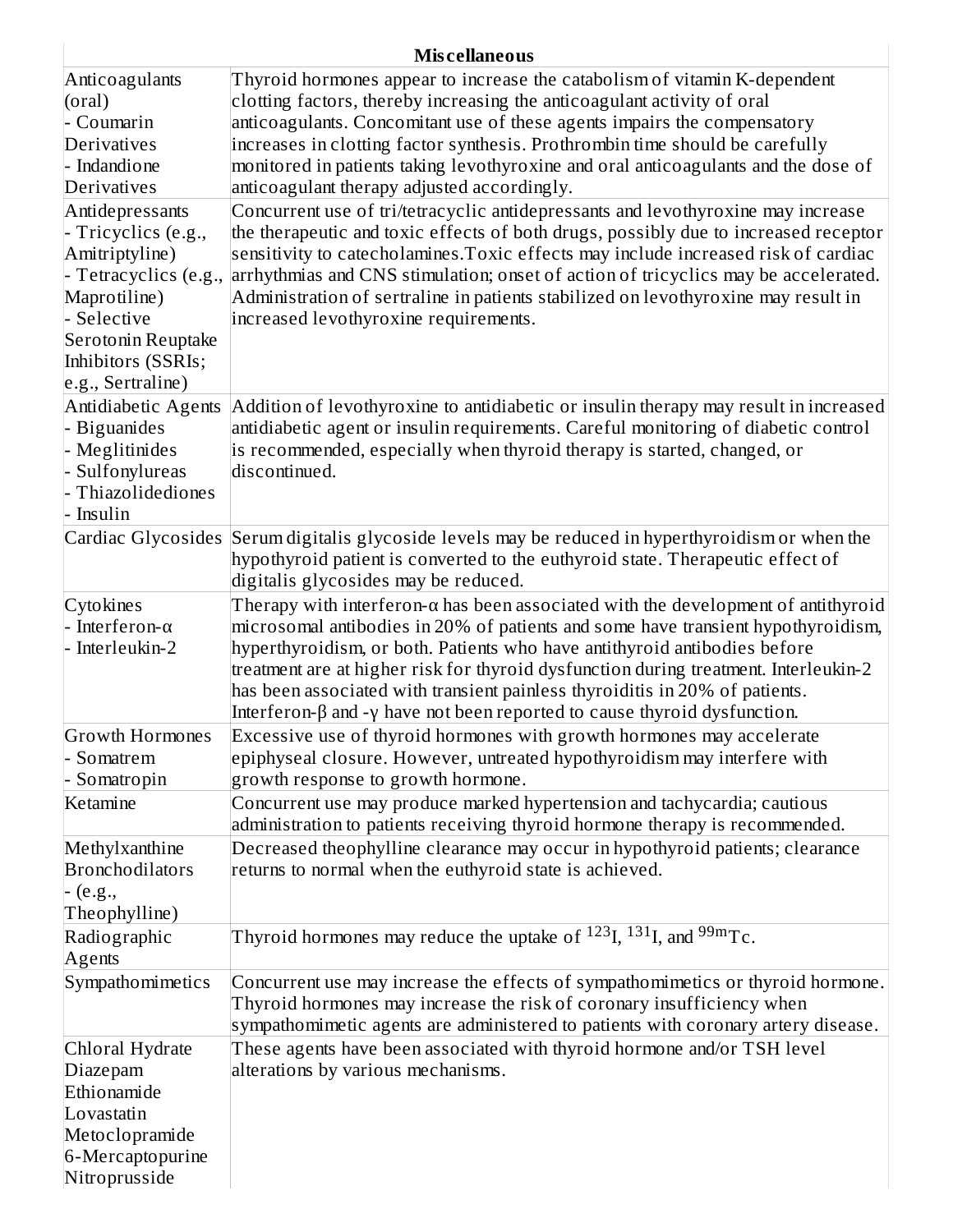| <b>Miscellaneous</b>                                                                                                                                                        |                                                                                                                                                                                                                                                                                                                                                                                                                                                                                                                              |  |  |  |
|-----------------------------------------------------------------------------------------------------------------------------------------------------------------------------|------------------------------------------------------------------------------------------------------------------------------------------------------------------------------------------------------------------------------------------------------------------------------------------------------------------------------------------------------------------------------------------------------------------------------------------------------------------------------------------------------------------------------|--|--|--|
| Anticoagulants<br>(oral)<br>Coumarin<br>Derivatives<br>- Indandione<br>Derivatives                                                                                          | Thyroid hormones appear to increase the catabolism of vitamin K-dependent<br>clotting factors, thereby increasing the anticoagulant activity of oral<br>anticoagulants. Concomitant use of these agents impairs the compensatory<br>increases in clotting factor synthesis. Prothrombin time should be carefully<br>monitored in patients taking levothyroxine and oral anticoagulants and the dose of<br>anticoagulant therapy adjusted accordingly.                                                                        |  |  |  |
| Antidepressants<br>Tricyclics (e.g.,<br>Amitriptyline)<br>Tetracyclics (e.g.,<br>Maprotiline)<br>Selective<br>Serotonin Reuptake<br>Inhibitors (SSRIs;<br>e.g., Sertraline) | Concurrent use of tri/tetracyclic antidepressants and levothyroxine may increase<br>the therapeutic and toxic effects of both drugs, possibly due to increased receptor<br>sensitivity to catecholamines. Toxic effects may include increased risk of cardiac<br>arrhythmias and CNS stimulation; onset of action of tricyclics may be accelerated.<br>Administration of sertraline in patients stabilized on levothyroxine may result in<br>increased levothyroxine requirements.                                           |  |  |  |
| Antidiabetic Agents<br><b>Biguanides</b><br>Meglitinides<br>Sulfonylureas<br>Thiazolidediones<br>Insulin                                                                    | Addition of levothyroxine to antidiabetic or insulin therapy may result in increased<br>antidiabetic agent or insulin requirements. Careful monitoring of diabetic control<br>is recommended, especially when thyroid therapy is started, changed, or<br>discontinued.                                                                                                                                                                                                                                                       |  |  |  |
| Cardiac Glycosides                                                                                                                                                          | Serum digitalis glycoside levels may be reduced in hyperthyroidism or when the<br>hypothyroid patient is converted to the euthyroid state. Therapeutic effect of<br>digitalis glycosides may be reduced.                                                                                                                                                                                                                                                                                                                     |  |  |  |
| Cytokines<br>Interferon- $\alpha$<br>Interleukin-2                                                                                                                          | Therapy with interferon- $\alpha$ has been associated with the development of antithyroid<br>microsomal antibodies in 20% of patients and some have transient hypothyroidism,<br>hyperthyroidism, or both. Patients who have antithyroid antibodies before<br>treatment are at higher risk for thyroid dysfunction during treatment. Interleukin-2<br>has been associated with transient painless thyroiditis in 20% of patients.<br>Interferon- $\beta$ and - $\gamma$ have not been reported to cause thyroid dysfunction. |  |  |  |
| Growth Hormones<br>Somatrem<br>Somatropin                                                                                                                                   | Excessive use of thyroid hormones with growth hormones may accelerate<br>epiphyseal closure. However, untreated hypothyroidism may interfere with<br>growth response to growth hormone.                                                                                                                                                                                                                                                                                                                                      |  |  |  |
| Ketamine                                                                                                                                                                    | Concurrent use may produce marked hypertension and tachycardia; cautious<br>administration to patients receiving thyroid hormone therapy is recommended.                                                                                                                                                                                                                                                                                                                                                                     |  |  |  |
| Methylxanthine<br>Bronchodilators<br>(e.g.,<br>Theophylline)                                                                                                                | Decreased theophylline clearance may occur in hypothyroid patients; clearance<br>returns to normal when the euthyroid state is achieved.                                                                                                                                                                                                                                                                                                                                                                                     |  |  |  |
| Radiographic<br>Agents                                                                                                                                                      | Thyroid hormones may reduce the uptake of $^{123}$ I, $^{131}$ I, and $^{99\mathrm{m}}$ Tc.                                                                                                                                                                                                                                                                                                                                                                                                                                  |  |  |  |
| Sympathomimetics                                                                                                                                                            | Concurrent use may increase the effects of sympathomimetics or thyroid hormone.<br>Thyroid hormones may increase the risk of coronary insufficiency when<br>sympathomimetic agents are administered to patients with coronary artery disease.                                                                                                                                                                                                                                                                                |  |  |  |
| Chloral Hydrate<br>Diazepam<br>Ethionamide<br>Lovastatin<br>Metoclopramide<br>6-Mercaptopurine<br>Nitroprusside                                                             | These agents have been associated with thyroid hormone and/or TSH level<br>alterations by various mechanisms.                                                                                                                                                                                                                                                                                                                                                                                                                |  |  |  |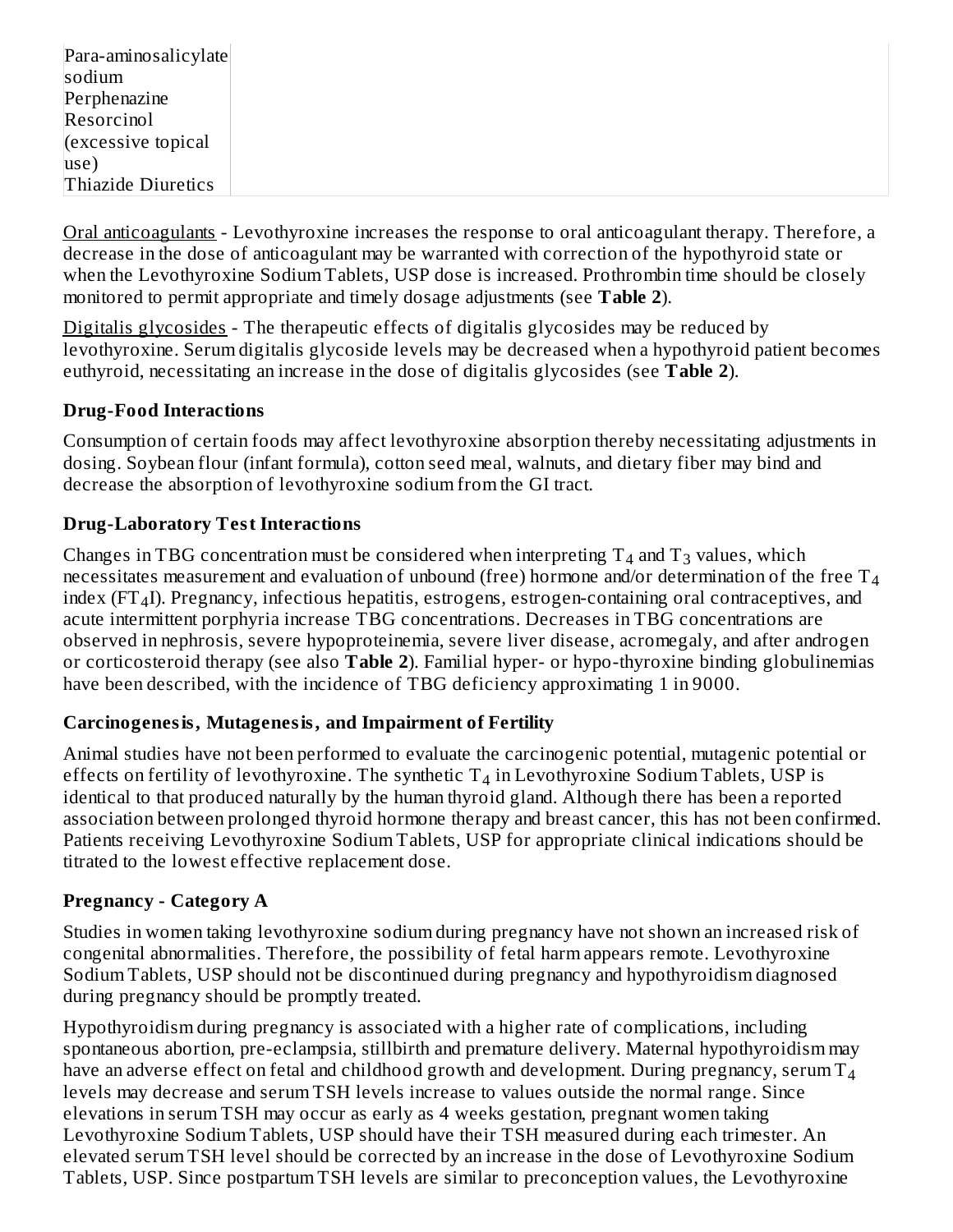| Para-aminosalicylate |  |
|----------------------|--|
| sodium               |  |
| Perphenazine         |  |
| Resorcinol           |  |
| (excessive topical   |  |
| use)                 |  |
| Thiazide Diuretics   |  |

Oral anticoagulants - Levothyroxine increases the response to oral anticoagulant therapy. Therefore, a decrease in the dose of anticoagulant may be warranted with correction of the hypothyroid state or when the Levothyroxine Sodium Tablets, USP dose is increased. Prothrombin time should be closely monitored to permit appropriate and timely dosage adjustments (see **Table 2**).

Digitalis glycosides - The therapeutic effects of digitalis glycosides may be reduced by levothyroxine. Serum digitalis glycoside levels may be decreased when a hypothyroid patient becomes euthyroid, necessitating an increase in the dose of digitalis glycosides (see **Table 2**).

#### **Drug-Food Interactions**

Consumption of certain foods may affect levothyroxine absorption thereby necessitating adjustments in dosing. Soybean flour (infant formula), cotton seed meal, walnuts, and dietary fiber may bind and decrease the absorption of levothyroxine sodium from the GI tract.

## **Drug-Laboratory Test Interactions**

Changes in TBG concentration must be considered when interpreting  $T_4$  and  $T_3$  values, which necessitates measurement and evaluation of unbound (free) hormone and/or determination of the free  $\rm{T}_4$ index (FT<sub>4</sub>I). Pregnancy, infectious hepatitis, estrogens, estrogen-containing oral contraceptives, and acute intermittent porphyria increase TBG concentrations. Decreases in TBG concentrations are observed in nephrosis, severe hypoproteinemia, severe liver disease, acromegaly, and after androgen or corticosteroid therapy (see also **Table 2**). Familial hyper- or hypo-thyroxine binding globulinemias have been described, with the incidence of TBG deficiency approximating 1 in 9000.

## **Carcinogenesis, Mutagenesis, and Impairment of Fertility**

Animal studies have not been performed to evaluate the carcinogenic potential, mutagenic potential or effects on fertility of levothyroxine. The synthetic  $T_4$  in Levothyroxine Sodium Tablets, USP is identical to that produced naturally by the human thyroid gland. Although there has been a reported association between prolonged thyroid hormone therapy and breast cancer, this has not been confirmed. Patients receiving Levothyroxine Sodium Tablets, USP for appropriate clinical indications should be titrated to the lowest effective replacement dose.

## **Pregnancy - Category A**

Studies in women taking levothyroxine sodium during pregnancy have not shown an increased risk of congenital abnormalities. Therefore, the possibility of fetal harm appears remote. Levothyroxine Sodium Tablets, USP should not be discontinued during pregnancy and hypothyroidism diagnosed during pregnancy should be promptly treated.

Hypothyroidism during pregnancy is associated with a higher rate of complications, including spontaneous abortion, pre-eclampsia, stillbirth and premature delivery. Maternal hypothyroidism may have an adverse effect on fetal and childhood growth and development. During pregnancy, serum T $_{\rm 4}$ levels may decrease and serum TSH levels increase to values outside the normal range. Since elevations in serum TSH may occur as early as 4 weeks gestation, pregnant women taking Levothyroxine Sodium Tablets, USP should have their TSH measured during each trimester. An elevated serum TSH level should be corrected by an increase in the dose of Levothyroxine Sodium Tablets, USP. Since postpartum TSH levels are similar to preconception values, the Levothyroxine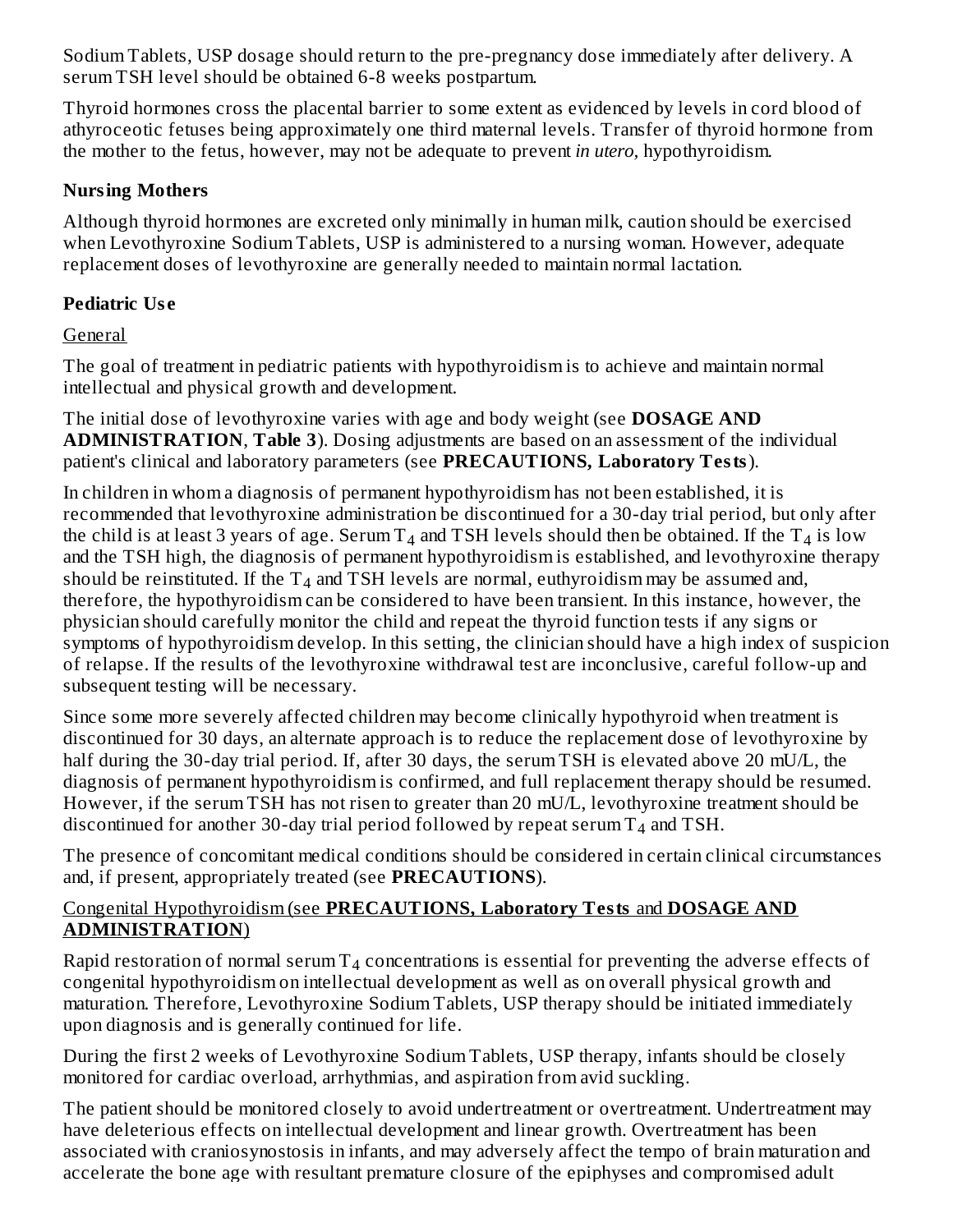Sodium Tablets, USP dosage should return to the pre-pregnancy dose immediately after delivery. A serum TSH level should be obtained 6-8 weeks postpartum.

Thyroid hormones cross the placental barrier to some extent as evidenced by levels in cord blood of athyroceotic fetuses being approximately one third maternal levels. Transfer of thyroid hormone from the mother to the fetus, however, may not be adequate to prevent *in utero,* hypothyroidism.

#### **Nursing Mothers**

Although thyroid hormones are excreted only minimally in human milk, caution should be exercised when Levothyroxine Sodium Tablets, USP is administered to a nursing woman. However, adequate replacement doses of levothyroxine are generally needed to maintain normal lactation.

## **Pediatric Us e**

General

The goal of treatment in pediatric patients with hypothyroidism is to achieve and maintain normal intellectual and physical growth and development.

The initial dose of levothyroxine varies with age and body weight (see **DOSAGE AND ADMINISTRATION**, **Table 3**). Dosing adjustments are based on an assessment of the individual patient's clinical and laboratory parameters (see **PRECAUTIONS, Laboratory Tests**).

In children in whom a diagnosis of permanent hypothyroidism has not been established, it is recommended that levothyroxine administration be discontinued for a 30-day trial period, but only after the child is at least 3 years of age. Serum  $T_{4}$  and TSH levels should then be obtained. If the  $T_{4}$  is low and the TSH high, the diagnosis of permanent hypothyroidism is established, and levothyroxine therapy should be reinstituted. If the  $T_{4}$  and TSH levels are normal, euthyroidism may be assumed and, therefore, the hypothyroidism can be considered to have been transient. In this instance, however, the physician should carefully monitor the child and repeat the thyroid function tests if any signs or symptoms of hypothyroidism develop. In this setting, the clinician should have a high index of suspicion of relapse. If the results of the levothyroxine withdrawal test are inconclusive, careful follow-up and subsequent testing will be necessary.

Since some more severely affected children may become clinically hypothyroid when treatment is discontinued for 30 days, an alternate approach is to reduce the replacement dose of levothyroxine by half during the 30-day trial period. If, after 30 days, the serum TSH is elevated above 20 mU/L, the diagnosis of permanent hypothyroidism is confirmed, and full replacement therapy should be resumed. However, if the serum TSH has not risen to greater than 20 mU/L, levothyroxine treatment should be discontinued for another 30-day trial period followed by repeat serum  $\mathrm{T}_4$  and  $\mathrm{TSH.}$ 

The presence of concomitant medical conditions should be considered in certain clinical circumstances and, if present, appropriately treated (see **PRECAUTIONS**).

#### Congenital Hypothyroidism (see **PRECAUTIONS, Laboratory Tests** and **DOSAGE AND ADMINISTRATION**)

Rapid restoration of normal serum  $\texttt{T}_4$  concentrations is essential for preventing the adverse effects of congenital hypothyroidism on intellectual development as well as on overall physical growth and maturation. Therefore, Levothyroxine Sodium Tablets, USP therapy should be initiated immediately upon diagnosis and is generally continued for life.

During the first 2 weeks of Levothyroxine Sodium Tablets, USP therapy, infants should be closely monitored for cardiac overload, arrhythmias, and aspiration from avid suckling.

The patient should be monitored closely to avoid undertreatment or overtreatment. Undertreatment may have deleterious effects on intellectual development and linear growth. Overtreatment has been associated with craniosynostosis in infants, and may adversely affect the tempo of brain maturation and accelerate the bone age with resultant premature closure of the epiphyses and compromised adult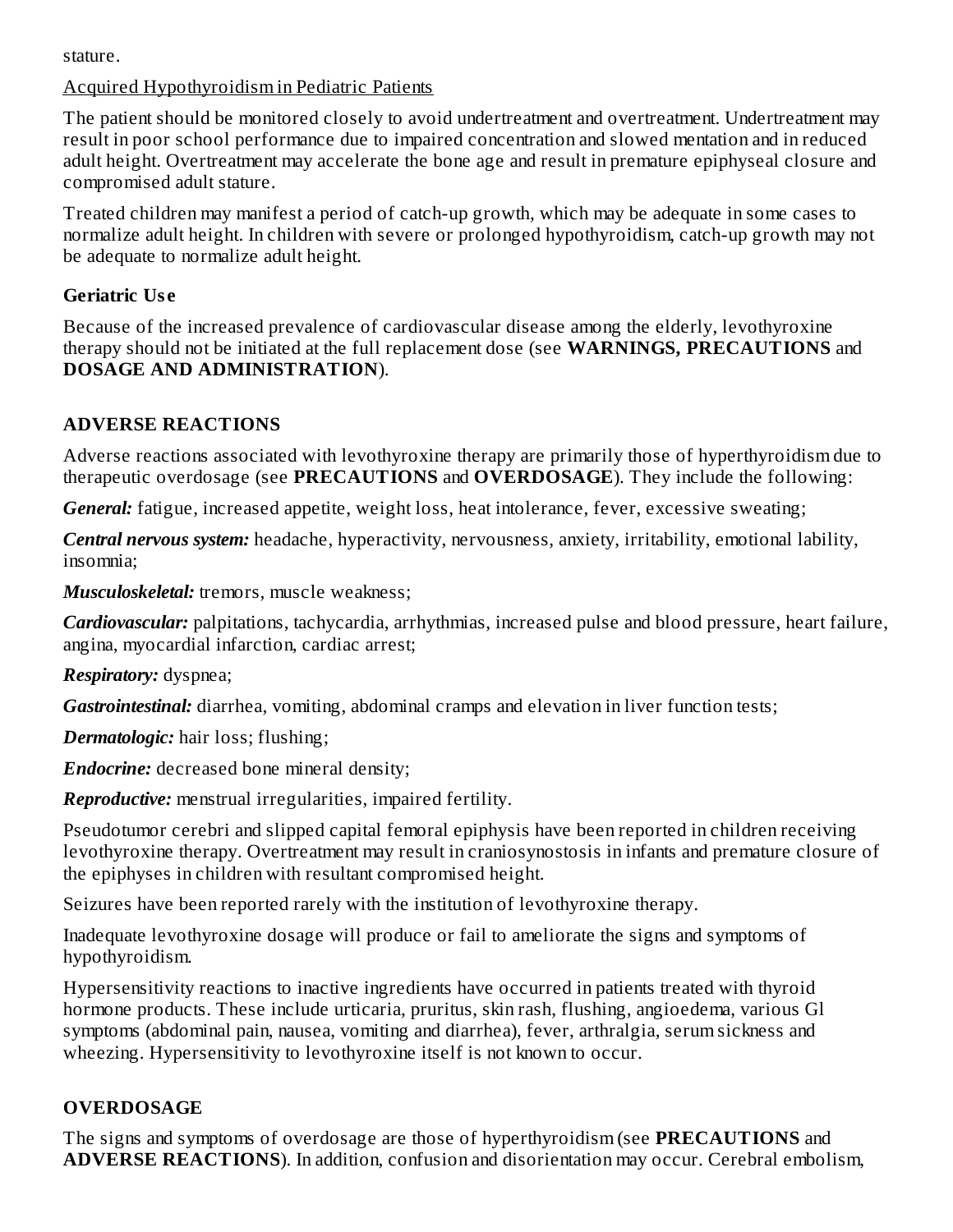stature.

#### Acquired Hypothyroidism in Pediatric Patients

The patient should be monitored closely to avoid undertreatment and overtreatment. Undertreatment may result in poor school performance due to impaired concentration and slowed mentation and in reduced adult height. Overtreatment may accelerate the bone age and result in premature epiphyseal closure and compromised adult stature.

Treated children may manifest a period of catch-up growth, which may be adequate in some cases to normalize adult height. In children with severe or prolonged hypothyroidism, catch-up growth may not be adequate to normalize adult height.

## **Geriatric Us e**

Because of the increased prevalence of cardiovascular disease among the elderly, levothyroxine therapy should not be initiated at the full replacement dose (see **WARNINGS, PRECAUTIONS** and **DOSAGE AND ADMINISTRATION**).

## **ADVERSE REACTIONS**

Adverse reactions associated with levothyroxine therapy are primarily those of hyperthyroidism due to therapeutic overdosage (see **PRECAUTIONS** and **OVERDOSAGE**). They include the following:

*General:* fatigue, increased appetite, weight loss, heat intolerance, fever, excessive sweating;

*Central nervous system:* headache, hyperactivity, nervousness, anxiety, irritability, emotional lability, insomnia;

*Musculoskeletal:* tremors, muscle weakness;

*Cardiovascular:* palpitations, tachycardia, arrhythmias, increased pulse and blood pressure, heart failure, angina, myocardial infarction, cardiac arrest;

*Respiratory:* dyspnea;

*Gastrointestinal:* diarrhea, vomiting, abdominal cramps and elevation in liver function tests;

*Dermatologic:* hair loss; flushing;

*Endocrine:* decreased bone mineral density;

*Reproductive:* menstrual irregularities, impaired fertility.

Pseudotumor cerebri and slipped capital femoral epiphysis have been reported in children receiving levothyroxine therapy. Overtreatment may result in craniosynostosis in infants and premature closure of the epiphyses in children with resultant compromised height.

Seizures have been reported rarely with the institution of levothyroxine therapy.

Inadequate levothyroxine dosage will produce or fail to ameliorate the signs and symptoms of hypothyroidism.

Hypersensitivity reactions to inactive ingredients have occurred in patients treated with thyroid hormone products. These include urticaria, pruritus, skin rash, flushing, angioedema, various Gl symptoms (abdominal pain, nausea, vomiting and diarrhea), fever, arthralgia, serum sickness and wheezing. Hypersensitivity to levothyroxine itself is not known to occur.

# **OVERDOSAGE**

The signs and symptoms of overdosage are those of hyperthyroidism (see **PRECAUTIONS** and **ADVERSE REACTIONS**). In addition, confusion and disorientation may occur. Cerebral embolism,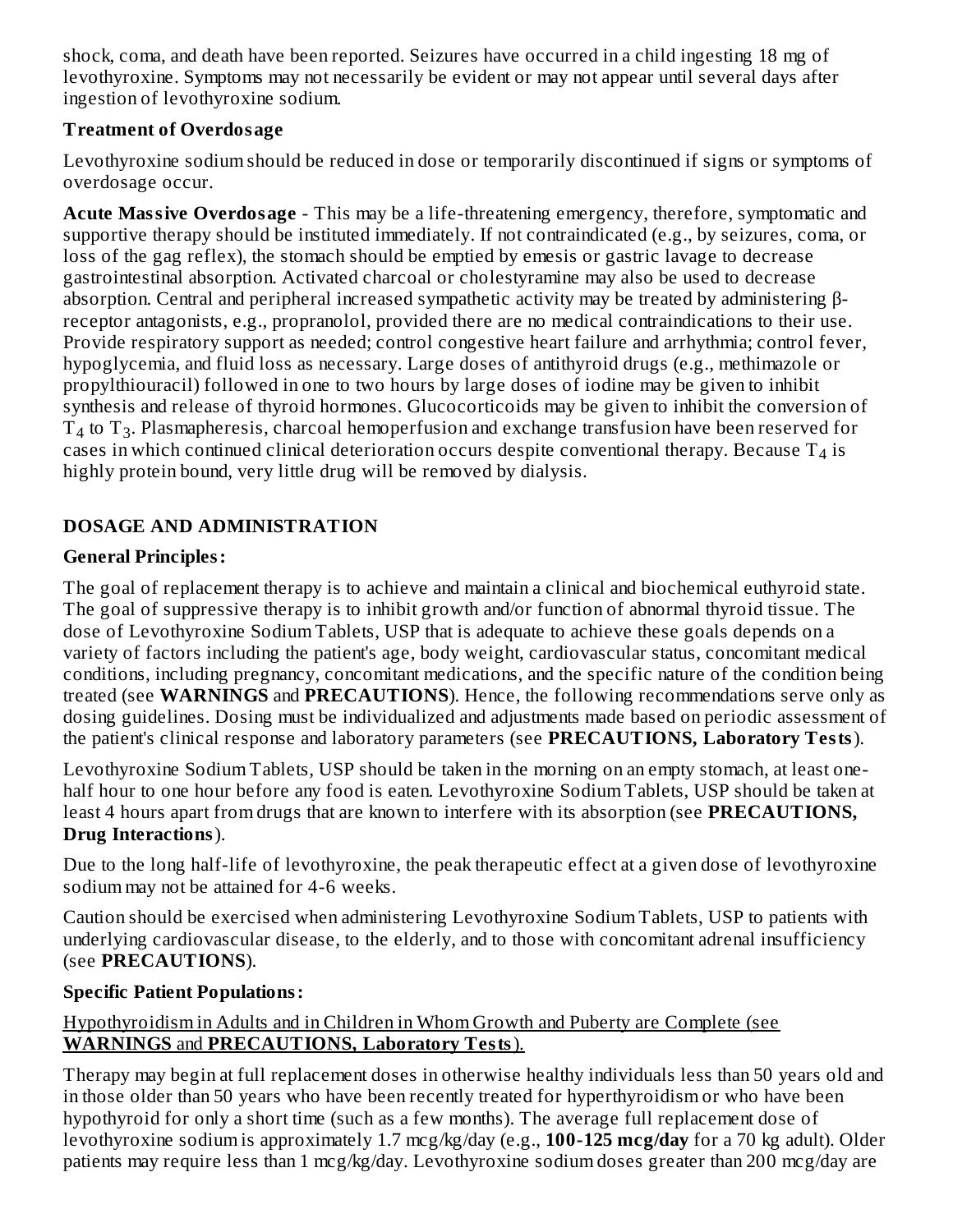shock, coma, and death have been reported. Seizures have occurred in a child ingesting 18 mg of levothyroxine. Symptoms may not necessarily be evident or may not appear until several days after ingestion of levothyroxine sodium.

## **Treatment of Overdosage**

Levothyroxine sodium should be reduced in dose or temporarily discontinued if signs or symptoms of overdosage occur.

**Acute Massive Overdosage** - This may be a life-threatening emergency, therefore, symptomatic and supportive therapy should be instituted immediately. If not contraindicated (e.g., by seizures, coma, or loss of the gag reflex), the stomach should be emptied by emesis or gastric lavage to decrease gastrointestinal absorption. Activated charcoal or cholestyramine may also be used to decrease absorption. Central and peripheral increased sympathetic activity may be treated by administering βreceptor antagonists, e.g., propranolol, provided there are no medical contraindications to their use. Provide respiratory support as needed; control congestive heart failure and arrhythmia; control fever, hypoglycemia, and fluid loss as necessary. Large doses of antithyroid drugs (e.g., methimazole or propylthiouracil) followed in one to two hours by large doses of iodine may be given to inhibit synthesis and release of thyroid hormones. Glucocorticoids may be given to inhibit the conversion of  $T_{\rm 4}$  to  $T_{\rm 3}$ . Plasmapheresis, charcoal hemoperfusion and exchange transfusion have been reserved for cases in which continued clinical deterioration occurs despite conventional therapy. Because T $_4$  is highly protein bound, very little drug will be removed by dialysis.

# **DOSAGE AND ADMINISTRATION**

## **General Principles:**

The goal of replacement therapy is to achieve and maintain a clinical and biochemical euthyroid state. The goal of suppressive therapy is to inhibit growth and/or function of abnormal thyroid tissue. The dose of Levothyroxine Sodium Tablets, USP that is adequate to achieve these goals depends on a variety of factors including the patient's age, body weight, cardiovascular status, concomitant medical conditions, including pregnancy, concomitant medications, and the specific nature of the condition being treated (see **WARNINGS** and **PRECAUTIONS**). Hence, the following recommendations serve only as dosing guidelines. Dosing must be individualized and adjustments made based on periodic assessment of the patient's clinical response and laboratory parameters (see **PRECAUTIONS, Laboratory Tests**).

Levothyroxine Sodium Tablets, USP should be taken in the morning on an empty stomach, at least onehalf hour to one hour before any food is eaten. Levothyroxine Sodium Tablets, USP should be taken at least 4 hours apart from drugs that are known to interfere with its absorption (see **PRECAUTIONS, Drug Interactions**).

Due to the long half-life of levothyroxine, the peak therapeutic effect at a given dose of levothyroxine sodium may not be attained for 4-6 weeks.

Caution should be exercised when administering Levothyroxine Sodium Tablets, USP to patients with underlying cardiovascular disease, to the elderly, and to those with concomitant adrenal insufficiency (see **PRECAUTIONS**).

## **Specific Patient Populations:**

## Hypothyroidism in Adults and in Children in Whom Growth and Puberty are Complete (see **WARNINGS** and **PRECAUTIONS, Laboratory Tests**).

Therapy may begin at full replacement doses in otherwise healthy individuals less than 50 years old and in those older than 50 years who have been recently treated for hyperthyroidism or who have been hypothyroid for only a short time (such as a few months). The average full replacement dose of levothyroxine sodium is approximately 1.7 mcg/kg/day (e.g., **100-125 mcg/day** for a 70 kg adult). Older patients may require less than 1 mcg/kg/day. Levothyroxine sodium doses greater than 200 mcg/day are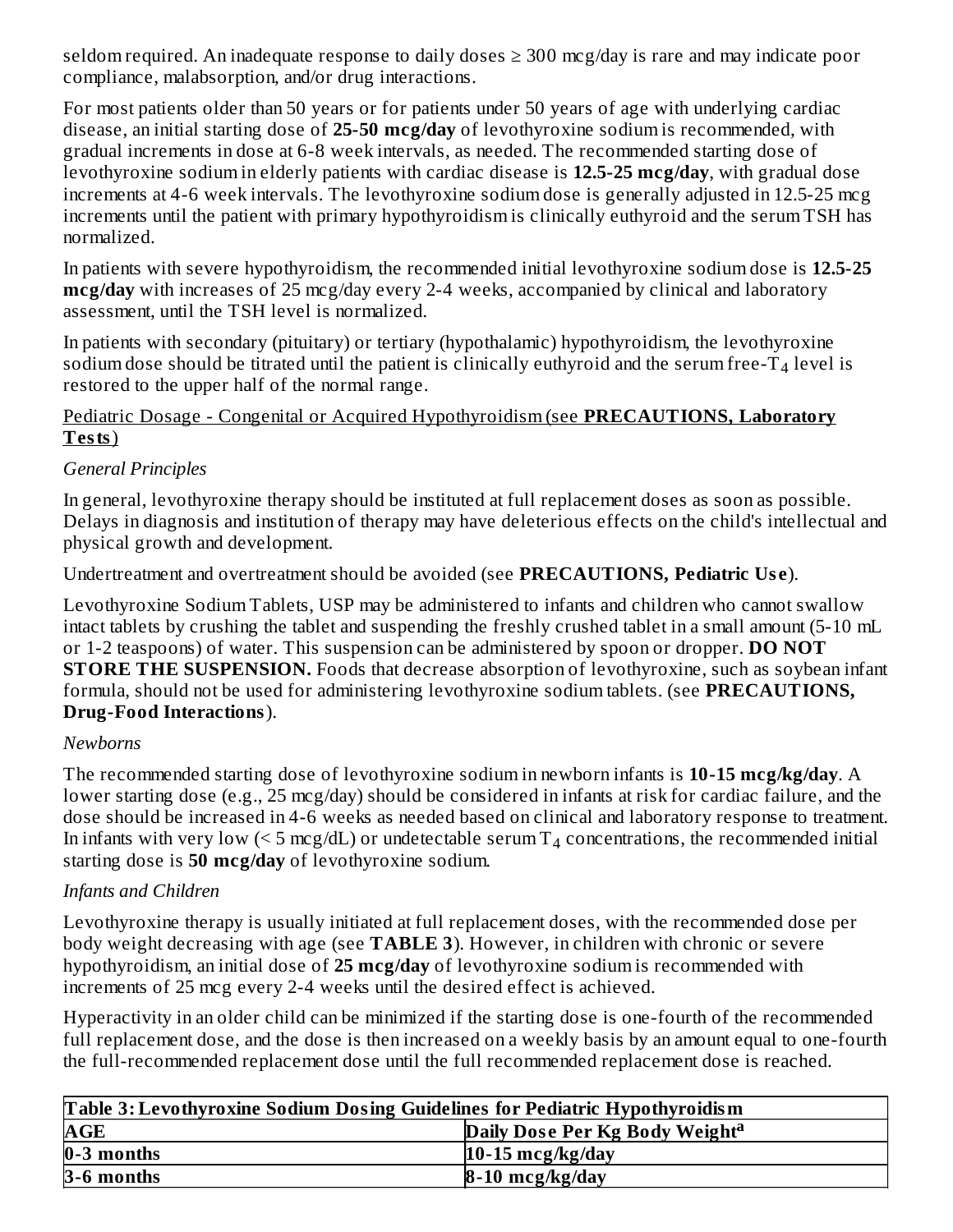seldom required. An inadequate response to daily doses  $\geq$  300 mcg/day is rare and may indicate poor compliance, malabsorption, and/or drug interactions.

For most patients older than 50 years or for patients under 50 years of age with underlying cardiac disease, an initial starting dose of **25-50 mcg/day** of levothyroxine sodium is recommended, with gradual increments in dose at 6-8 week intervals, as needed. The recommended starting dose of levothyroxine sodium in elderly patients with cardiac disease is **12.5-25 mcg/day**, with gradual dose increments at 4-6 week intervals. The levothyroxine sodium dose is generally adjusted in 12.5-25 mcg increments until the patient with primary hypothyroidism is clinically euthyroid and the serum TSH has normalized.

In patients with severe hypothyroidism, the recommended initial levothyroxine sodium dose is **12.5-25 mcg/day** with increases of 25 mcg/day every 2-4 weeks, accompanied by clinical and laboratory assessment, until the TSH level is normalized.

In patients with secondary (pituitary) or tertiary (hypothalamic) hypothyroidism, the levothyroxine sodium dose should be titrated until the patient is clinically euthyroid and the serum free-T $_{\rm 4}$  level is restored to the upper half of the normal range.

#### Pediatric Dosage - Congenital or Acquired Hypothyroidism (see **PRECAUTIONS, Laboratory Tests**)

#### *General Principles*

In general, levothyroxine therapy should be instituted at full replacement doses as soon as possible. Delays in diagnosis and institution of therapy may have deleterious effects on the child's intellectual and physical growth and development.

Undertreatment and overtreatment should be avoided (see **PRECAUTIONS, Pediatric Us e**).

Levothyroxine Sodium Tablets, USP may be administered to infants and children who cannot swallow intact tablets by crushing the tablet and suspending the freshly crushed tablet in a small amount (5-10 mL or 1-2 teaspoons) of water. This suspension can be administered by spoon or dropper. **DO NOT STORE THE SUSPENSION.** Foods that decrease absorption of levothyroxine, such as soybean infant formula, should not be used for administering levothyroxine sodium tablets. (see **PRECAUTIONS, Drug-Food Interactions**).

#### *Newborns*

The recommended starting dose of levothyroxine sodium in newborn infants is **10-15 mcg/kg/day**. A lower starting dose (e.g., 25 mcg/day) should be considered in infants at risk for cardiac failure, and the dose should be increased in 4-6 weeks as needed based on clinical and laboratory response to treatment. In infants with very low (< 5 mcg/dL) or undetectable serum T<sub>4</sub> concentrations, the recommended initial starting dose is **50 mcg/day** of levothyroxine sodium.

## *Infants and Children*

Levothyroxine therapy is usually initiated at full replacement doses, with the recommended dose per body weight decreasing with age (see **TABLE 3**). However, in children with chronic or severe hypothyroidism, an initial dose of **25 mcg/day** of levothyroxine sodium is recommended with increments of 25 mcg every 2-4 weeks until the desired effect is achieved.

Hyperactivity in an older child can be minimized if the starting dose is one-fourth of the recommended full replacement dose, and the dose is then increased on a weekly basis by an amount equal to one-fourth the full-recommended replacement dose until the full recommended replacement dose is reached.

| Table 3: Levothyroxine Sodium Dosing Guidelines for Pediatric Hypothyroidism |                                            |  |  |  |
|------------------------------------------------------------------------------|--------------------------------------------|--|--|--|
| <b>AGE</b>                                                                   | Daily Dose Per Kg Body Weight <sup>a</sup> |  |  |  |
| 0-3 months                                                                   | $10-15$ mcg/kg/day                         |  |  |  |
| 3-6 months                                                                   | $8-10$ mcg/kg/day                          |  |  |  |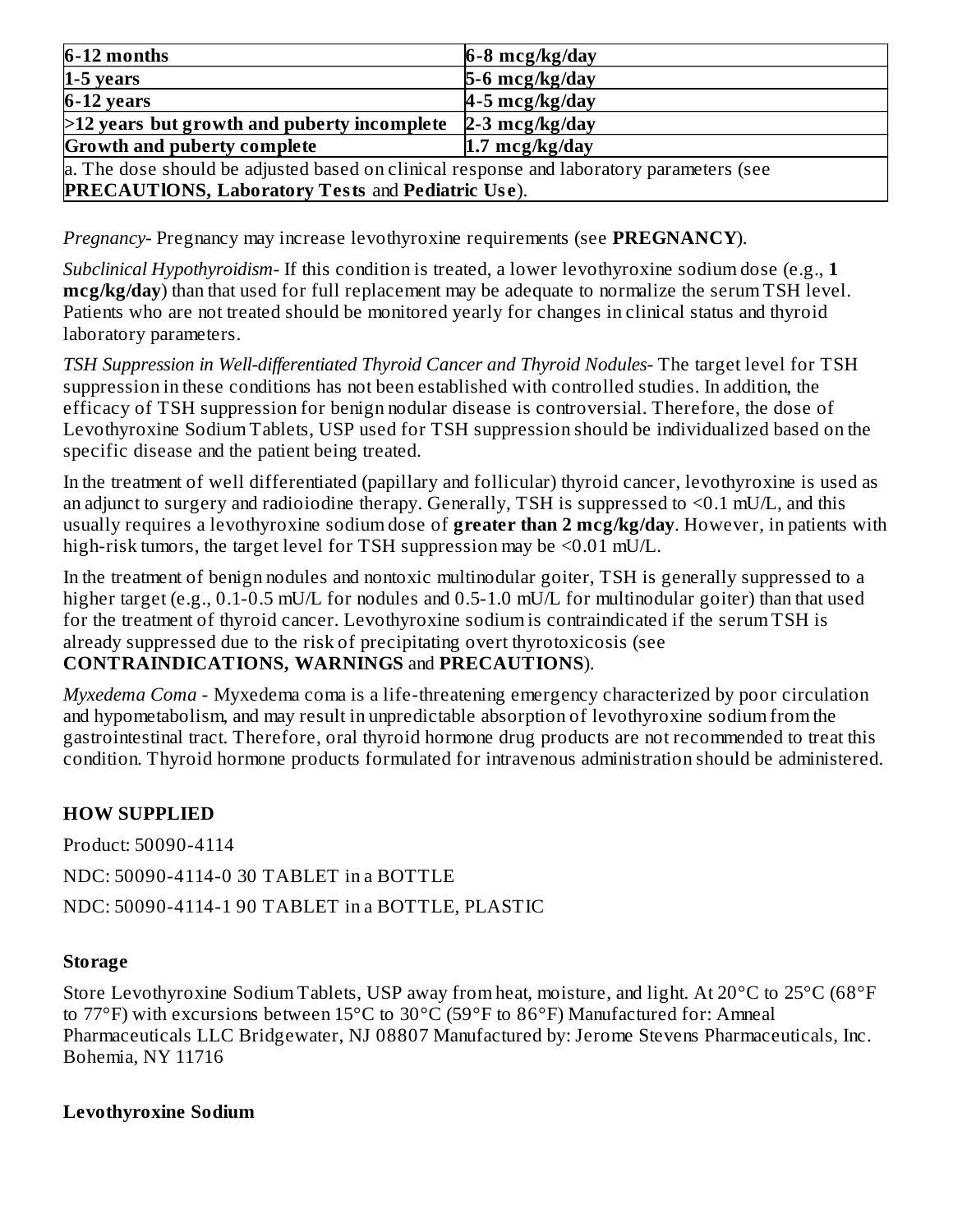| 6-12 months                                                                              | $6-8 \text{ mcg/kg/day}$ |  |  |  |  |
|------------------------------------------------------------------------------------------|--------------------------|--|--|--|--|
| $1-5$ years                                                                              | $5-6$ mcg/kg/day         |  |  |  |  |
| 6-12 years                                                                               | $4-5$ mcg/kg/day         |  |  |  |  |
| $>12$ years but growth and puberty incomplete                                            | $2-3$ mcg/kg/day         |  |  |  |  |
| <b>Growth and puberty complete</b><br>$1.7 \text{ mcg/kg/day}$                           |                          |  |  |  |  |
| a. The dose should be adjusted based on clinical response and laboratory parameters (see |                          |  |  |  |  |
| <b>PRECAUTIONS, Laboratory Tests and Pediatric Use).</b>                                 |                          |  |  |  |  |

*Pregnancy-* Pregnancy may increase levothyroxine requirements (see **PREGNANCY**).

*Subclinical Hypothyroidism-* If this condition is treated, a lower levothyroxine sodium dose (e.g., **1 mcg/kg/day**) than that used for full replacement may be adequate to normalize the serum TSH level. Patients who are not treated should be monitored yearly for changes in clinical status and thyroid laboratory parameters.

*TSH Suppression in Well-differentiated Thyroid Cancer and Thyroid Nodules-* The target level for TSH suppression in these conditions has not been established with controlled studies. In addition, the efficacy of TSH suppression for benign nodular disease is controversial. Therefore, the dose of Levothyroxine Sodium Tablets, USP used for TSH suppression should be individualized based on the specific disease and the patient being treated.

In the treatment of well differentiated (papillary and follicular) thyroid cancer, levothyroxine is used as an adjunct to surgery and radioiodine therapy. Generally, TSH is suppressed to <0.1 mU/L, and this usually requires a levothyroxine sodium dose of **greater than 2 mcg/kg/day**. However, in patients with high-risk tumors, the target level for TSH suppression may be <0.01 mU/L.

In the treatment of benign nodules and nontoxic multinodular goiter, TSH is generally suppressed to a higher target (e.g., 0.1-0.5 mU/L for nodules and 0.5-1.0 mU/L for multinodular goiter) than that used for the treatment of thyroid cancer. Levothyroxine sodium is contraindicated if the serum TSH is already suppressed due to the risk of precipitating overt thyrotoxicosis (see **CONTRAINDICATIONS, WARNINGS** and **PRECAUTIONS**).

*Myxedema Coma* - Myxedema coma is a life-threatening emergency characterized by poor circulation and hypometabolism, and may result in unpredictable absorption of levothyroxine sodium from the gastrointestinal tract. Therefore, oral thyroid hormone drug products are not recommended to treat this condition. Thyroid hormone products formulated for intravenous administration should be administered.

## **HOW SUPPLIED**

Product: 50090-4114 NDC: 50090-4114-0 30 TABLET in a BOTTLE NDC: 50090-4114-1 90 TABLET in a BOTTLE, PLASTIC

#### **Storage**

Store Levothyroxine Sodium Tablets, USP away from heat, moisture, and light. At 20°C to 25°C (68°F to 77°F) with excursions between 15°C to 30°C (59°F to 86°F) Manufactured for: Amneal Pharmaceuticals LLC Bridgewater, NJ 08807 Manufactured by: Jerome Stevens Pharmaceuticals, Inc. Bohemia, NY 11716

#### **Levothyroxine Sodium**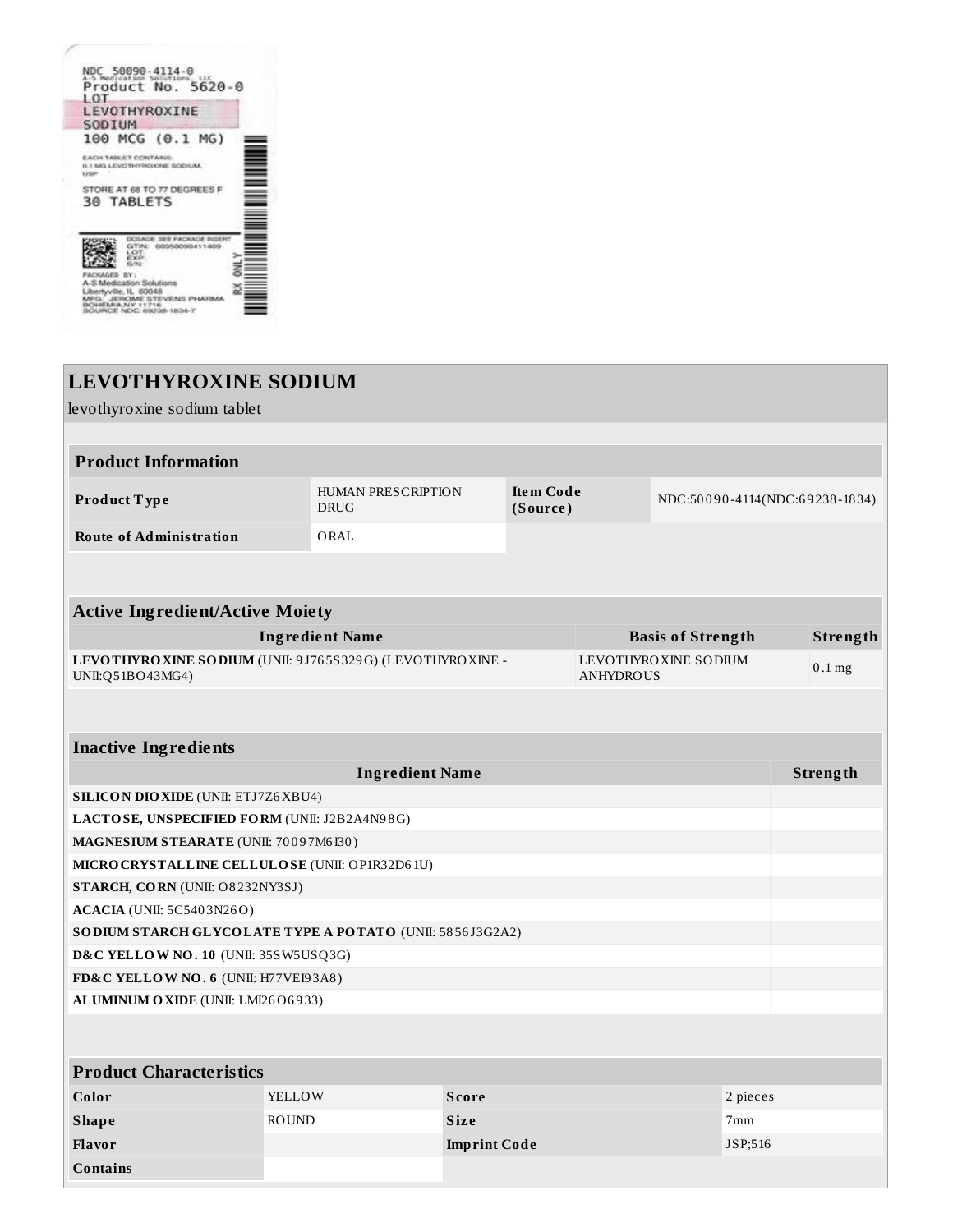| SODIUM<br>100 MCG (0.1 MG)<br><b>EACH TAILET CONTAINS</b><br><b>0.1 MG LEVOTHYROXINE SOCIUM</b><br><b>LISIF</b><br>STORE AT 68 TO 77 DEGREES F<br>30 TABLETS | 003500365411409          | LOT | NDC 50090-4114-0<br>A-S Medication Solutions, LLC<br>Product No. 5620-0<br>LEVOTHYROXINE |  |
|--------------------------------------------------------------------------------------------------------------------------------------------------------------|--------------------------|-----|------------------------------------------------------------------------------------------|--|
|                                                                                                                                                              |                          |     |                                                                                          |  |
|                                                                                                                                                              |                          |     |                                                                                          |  |
|                                                                                                                                                              |                          |     |                                                                                          |  |
|                                                                                                                                                              |                          |     |                                                                                          |  |
| PACKAGED BY:                                                                                                                                                 | A-S Medication Solutions |     |                                                                                          |  |

Į

**Contains**

| <b>LEVOTHYROXINE SODIUM</b>                                                    |                        |                        |                              |                  |                          |                                                 |  |  |  |  |  |
|--------------------------------------------------------------------------------|------------------------|------------------------|------------------------------|------------------|--------------------------|-------------------------------------------------|--|--|--|--|--|
| levothyroxine sodium tablet                                                    |                        |                        |                              |                  |                          |                                                 |  |  |  |  |  |
|                                                                                |                        |                        |                              |                  |                          |                                                 |  |  |  |  |  |
| <b>Product Information</b>                                                     |                        |                        |                              |                  |                          |                                                 |  |  |  |  |  |
| Product Type                                                                   | <b>DRUG</b>            | HUMAN PRESCRIPTION     | <b>Item Code</b><br>(Source) |                  |                          | NDC:50090-4114(NDC:69238-1834)                  |  |  |  |  |  |
| <b>Route of Administration</b>                                                 | ORAL                   |                        |                              |                  |                          |                                                 |  |  |  |  |  |
|                                                                                |                        |                        |                              |                  |                          |                                                 |  |  |  |  |  |
|                                                                                |                        |                        |                              |                  |                          |                                                 |  |  |  |  |  |
| <b>Active Ingredient/Active Moiety</b>                                         |                        |                        |                              |                  |                          |                                                 |  |  |  |  |  |
|                                                                                | <b>Ingredient Name</b> |                        |                              |                  | <b>Basis of Strength</b> | Strength                                        |  |  |  |  |  |
| LEVOTHYRO XINE SODIUM (UNII: 9J765S329G) (LEVOTHYRO XINE -<br>UNII:Q51BO43MG4) |                        |                        |                              | <b>ANHYDROUS</b> | LEVOTHYROXINE SODIUM     | 0.1 <sub>mg</sub>                               |  |  |  |  |  |
|                                                                                |                        |                        |                              |                  |                          |                                                 |  |  |  |  |  |
|                                                                                |                        |                        |                              |                  |                          |                                                 |  |  |  |  |  |
| <b>Inactive Ingredients</b>                                                    |                        |                        |                              |                  |                          |                                                 |  |  |  |  |  |
|                                                                                |                        | <b>Ingredient Name</b> |                              |                  |                          | Strength                                        |  |  |  |  |  |
| <b>SILICON DIO XIDE (UNII: ETJ7Z6 XBU4)</b>                                    |                        |                        |                              |                  |                          |                                                 |  |  |  |  |  |
| LACTOSE, UNSPECIFIED FORM (UNII: J2B2A4N98G)                                   |                        |                        |                              |                  |                          |                                                 |  |  |  |  |  |
| MAGNESIUM STEARATE (UNII: 70097M6I30)                                          |                        |                        |                              |                  |                          |                                                 |  |  |  |  |  |
| MICRO CRYSTALLINE CELLULO SE (UNII: OP1R32D61U)                                |                        |                        |                              |                  |                          |                                                 |  |  |  |  |  |
| STARCH, CORN (UNII: O8232NY3SJ)                                                |                        |                        |                              |                  |                          |                                                 |  |  |  |  |  |
| <b>ACACIA</b> (UNII: 5C5403N26O)                                               |                        |                        |                              |                  |                          |                                                 |  |  |  |  |  |
| SODIUM STARCH GLYCOLATE TYPE A POTATO (UNII: 5856J3G2A2)                       |                        |                        |                              |                  |                          |                                                 |  |  |  |  |  |
| D&C YELLOW NO. 10 (UNII: 35SW5USQ3G)                                           |                        |                        |                              |                  |                          |                                                 |  |  |  |  |  |
| FD&C YELLOW NO. 6 (UNII: H77VEI93A8)                                           |                        |                        |                              |                  |                          |                                                 |  |  |  |  |  |
| ALUMINUM OXIDE (UNII: LMI26O6933)                                              |                        |                        |                              |                  |                          |                                                 |  |  |  |  |  |
|                                                                                |                        |                        |                              |                  |                          |                                                 |  |  |  |  |  |
| <b>Product Characteristics</b>                                                 |                        |                        |                              |                  |                          |                                                 |  |  |  |  |  |
| Color                                                                          | <b>YELLOW</b>          | <b>Score</b>           |                              |                  | 2 pieces                 |                                                 |  |  |  |  |  |
|                                                                                | <b>ROUND</b>           | <b>Size</b>            |                              |                  | 7mm                      |                                                 |  |  |  |  |  |
| <b>Shape</b>                                                                   |                        |                        |                              |                  |                          |                                                 |  |  |  |  |  |
|                                                                                |                        |                        |                              |                  |                          | JSP;516<br><b>Flavor</b><br><b>Imprint Code</b> |  |  |  |  |  |